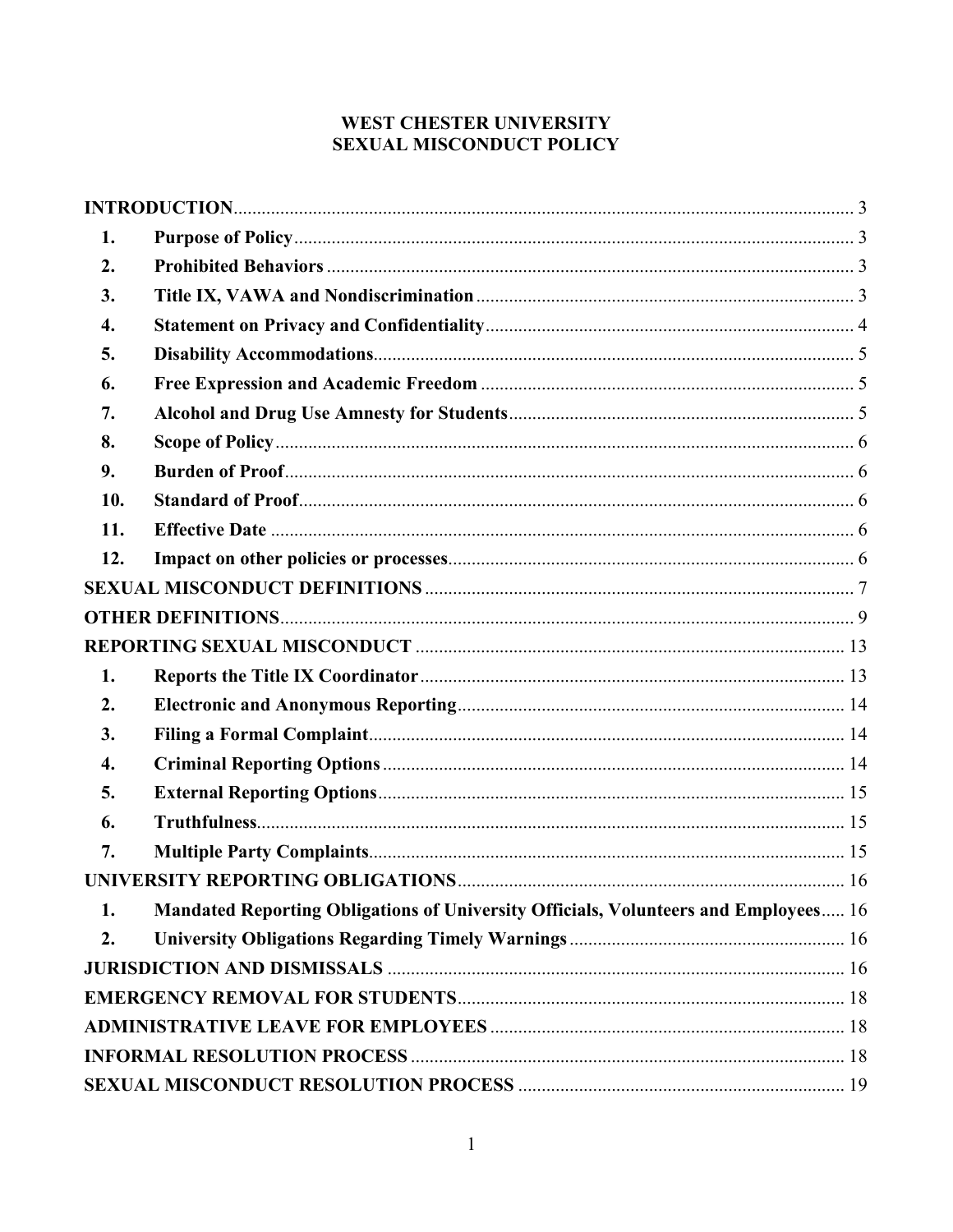## WEST CHESTER UNIVERSITY **SEXUAL MISCONDUCT POLICY**

| 1.               |                                                                                     |  |
|------------------|-------------------------------------------------------------------------------------|--|
| 2.               |                                                                                     |  |
| 3.               |                                                                                     |  |
| 4.               |                                                                                     |  |
| 5.               |                                                                                     |  |
| 6.               |                                                                                     |  |
| 7.               |                                                                                     |  |
| 8.               |                                                                                     |  |
| 9.               |                                                                                     |  |
| 10.              |                                                                                     |  |
| 11.              |                                                                                     |  |
| 12.              |                                                                                     |  |
|                  |                                                                                     |  |
|                  |                                                                                     |  |
|                  |                                                                                     |  |
| 1.               |                                                                                     |  |
| 2.               |                                                                                     |  |
| 3.               |                                                                                     |  |
| $\overline{4}$ . |                                                                                     |  |
| 5.               |                                                                                     |  |
| 6.               |                                                                                     |  |
| 7.               |                                                                                     |  |
|                  |                                                                                     |  |
| 1.               | Mandated Reporting Obligations of University Officials, Volunteers and Employees 16 |  |
| 2.               |                                                                                     |  |
|                  |                                                                                     |  |
|                  |                                                                                     |  |
|                  |                                                                                     |  |
|                  |                                                                                     |  |
|                  |                                                                                     |  |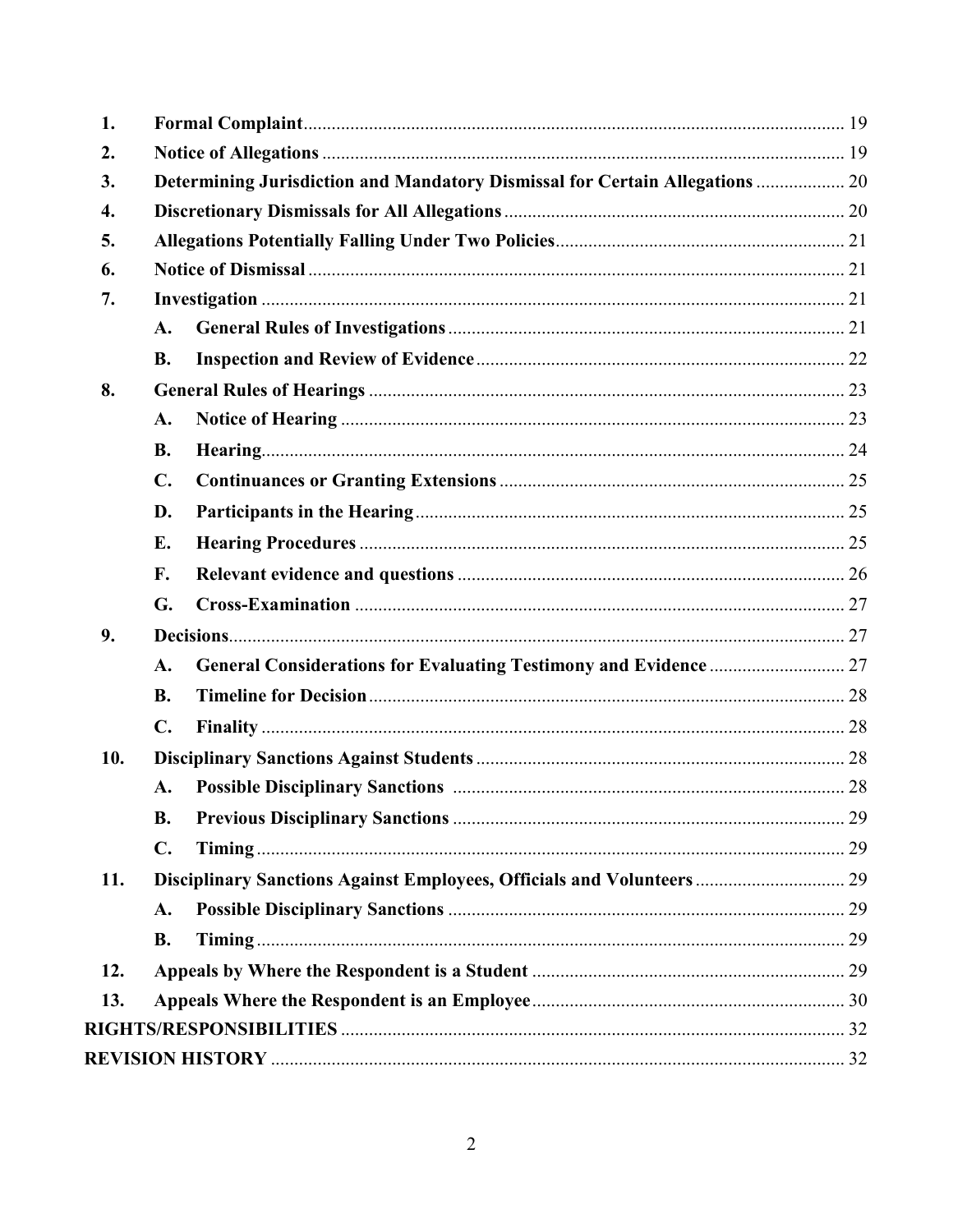<span id="page-1-0"></span>

| 1.         |                                                                              |  |
|------------|------------------------------------------------------------------------------|--|
| 2.         |                                                                              |  |
| 3.         | Determining Jurisdiction and Mandatory Dismissal for Certain Allegations  20 |  |
| 4.         |                                                                              |  |
| 5.         |                                                                              |  |
| 6.         |                                                                              |  |
| 7.         |                                                                              |  |
|            | A.                                                                           |  |
|            | <b>B.</b>                                                                    |  |
| 8.         |                                                                              |  |
|            | A.                                                                           |  |
|            | <b>B.</b>                                                                    |  |
|            | $\mathbf{C}$ .                                                               |  |
|            | D.                                                                           |  |
|            | E.                                                                           |  |
|            | F.                                                                           |  |
|            | G.                                                                           |  |
| 9.         |                                                                              |  |
|            | A.                                                                           |  |
|            | <b>B.</b>                                                                    |  |
|            | $\mathbf{C}$ .                                                               |  |
| 10.        |                                                                              |  |
|            | A.                                                                           |  |
|            | <b>B.</b>                                                                    |  |
|            | $\mathbf{C}$ .                                                               |  |
| 11.        | Disciplinary Sanctions Against Employees, Officials and Volunteers  29       |  |
|            | A.                                                                           |  |
|            | <b>B.</b>                                                                    |  |
|            |                                                                              |  |
| 12.<br>13. |                                                                              |  |
|            |                                                                              |  |
|            |                                                                              |  |
|            |                                                                              |  |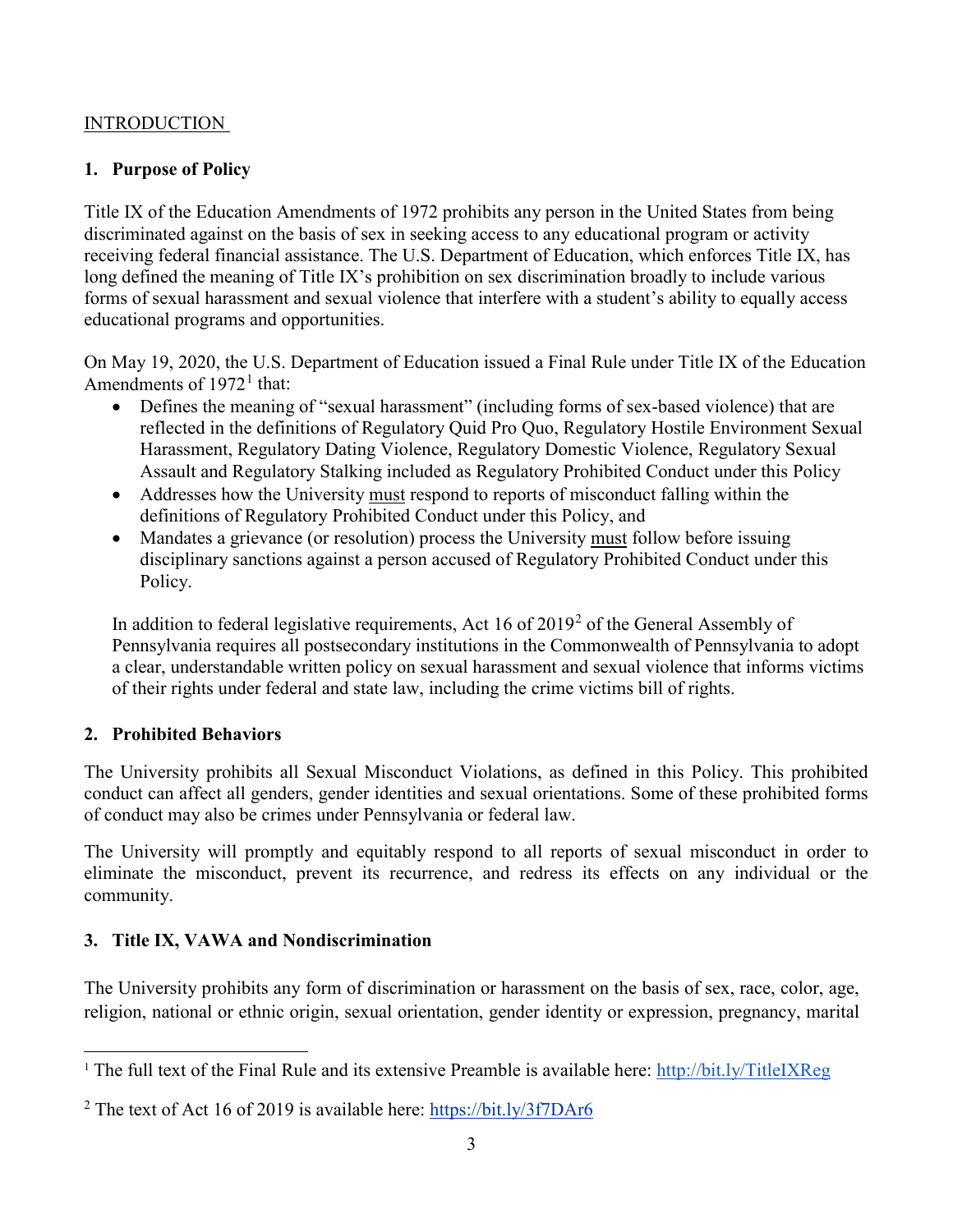#### **INTRODUCTION**

#### <span id="page-2-0"></span>**1. Purpose of Policy**

Title IX of the Education Amendments of 1972 prohibits any person in the United States from being discriminated against on the basis of sex in seeking access to any educational program or activity receiving federal financial assistance. The U.S. Department of Education, which enforces Title IX, has long defined the meaning of Title IX's prohibition on sex discrimination broadly to include various forms of sexual harassment and sexual violence that interfere with a student's ability to equally access educational programs and opportunities.

On May 19, 2020, the U.S. Department of Education issued a Final Rule under Title IX of the Education Amendments of  $1972<sup>1</sup>$  $1972<sup>1</sup>$  that:

- Defines the meaning of "sexual harassment" (including forms of sex-based violence) that are reflected in the definitions of Regulatory Quid Pro Quo, Regulatory Hostile Environment Sexual Harassment, Regulatory Dating Violence, Regulatory Domestic Violence, Regulatory Sexual Assault and Regulatory Stalking included as Regulatory Prohibited Conduct under this Policy
- Addresses how the University must respond to reports of misconduct falling within the definitions of Regulatory Prohibited Conduct under this Policy, and
- Mandates a grievance (or resolution) process the University must follow before issuing disciplinary sanctions against a person accused of Regulatory Prohibited Conduct under this Policy.

In addition to federal legislative requirements, Act 16 of [2](#page-2-4)019<sup>2</sup> of the General Assembly of Pennsylvania requires all postsecondary institutions in the Commonwealth of Pennsylvania to adopt a clear, understandable written policy on sexual harassment and sexual violence that informs victims of their rights under federal and state law, including the crime victims bill of rights.

#### <span id="page-2-1"></span>**2. Prohibited Behaviors**

The University prohibits all Sexual Misconduct Violations, as defined in this Policy. This prohibited conduct can affect all genders, gender identities and sexual orientations. Some of these prohibited forms of conduct may also be crimes under Pennsylvania or federal law.

The University will promptly and equitably respond to all reports of sexual misconduct in order to eliminate the misconduct, prevent its recurrence, and redress its effects on any individual or the community.

### <span id="page-2-2"></span>**3. Title IX, VAWA and Nondiscrimination**

The University prohibits any form of discrimination or harassment on the basis of sex, race, color, age, religion, national or ethnic origin, sexual orientation, gender identity or expression, pregnancy, marital

<span id="page-2-3"></span><sup>&</sup>lt;sup>1</sup> The full text of the Final Rule and its extensive Preamble is available here:<http://bit.ly/TitleIXReg>

<span id="page-2-4"></span><sup>&</sup>lt;sup>2</sup> The text of Act 16 of 2019 is available here:<https://bit.ly/3f7DAr6>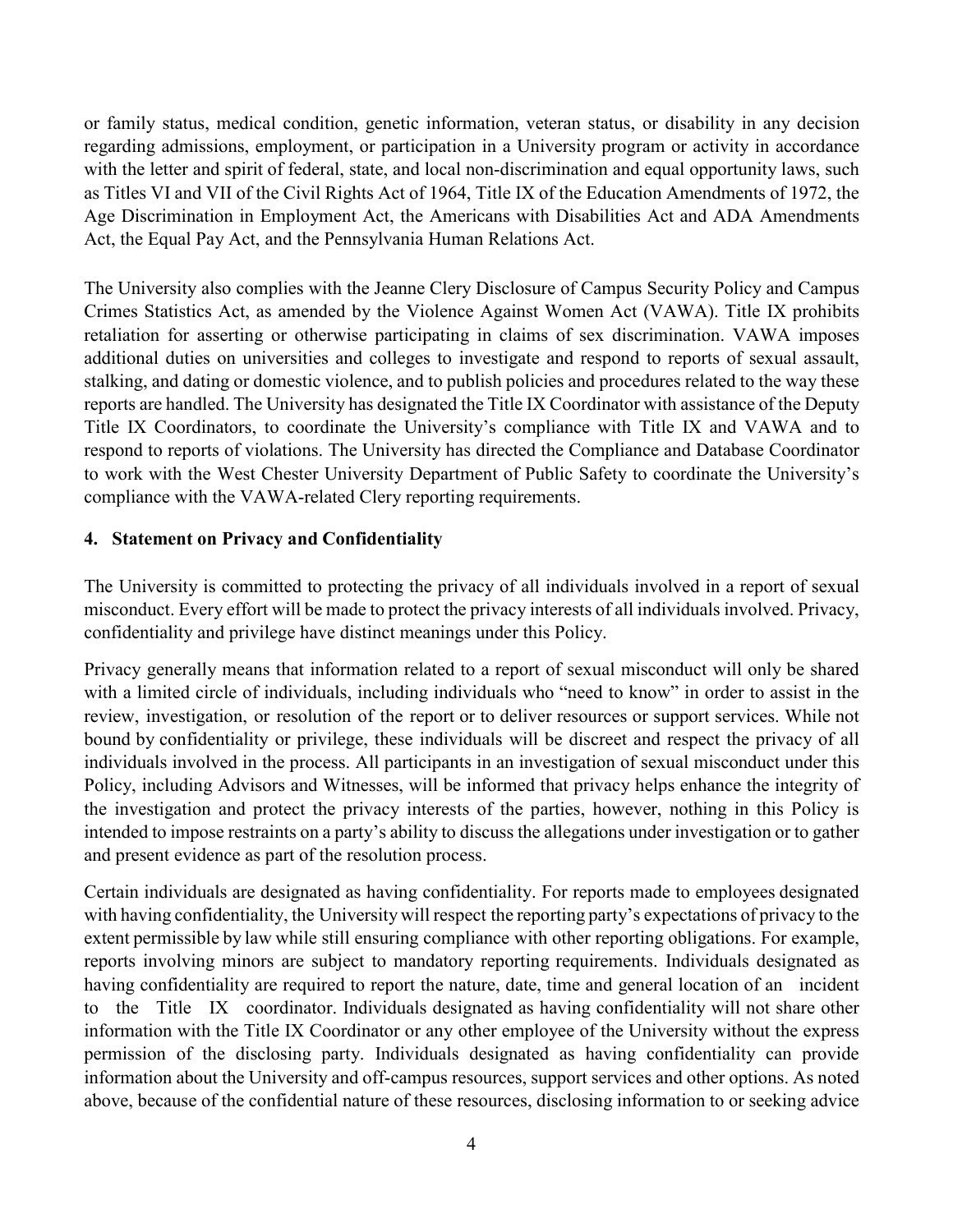or family status, medical condition, genetic information, veteran status, or disability in any decision regarding admissions, employment, or participation in a University program or activity in accordance with the letter and spirit of federal, state, and local non-discrimination and equal opportunity laws, such as Titles VI and VII of the Civil Rights Act of 1964, Title IX of the Education Amendments of 1972, the Age Discrimination in Employment Act, the Americans with Disabilities Act and ADA Amendments Act, the Equal Pay Act, and the Pennsylvania Human Relations Act.

The University also complies with the Jeanne Clery Disclosure of Campus Security Policy and Campus Crimes Statistics Act, as amended by the Violence Against Women Act (VAWA). Title IX prohibits retaliation for asserting or otherwise participating in claims of sex discrimination. VAWA imposes additional duties on universities and colleges to investigate and respond to reports of sexual assault, stalking, and dating or domestic violence, and to publish policies and procedures related to the way these reports are handled. The University has designated the Title IX Coordinator with assistance of the Deputy Title IX Coordinators, to coordinate the University's compliance with Title IX and VAWA and to respond to reports of violations. The University has directed the Compliance and Database Coordinator to work with the West Chester University Department of Public Safety to coordinate the University's compliance with the VAWA-related Clery reporting requirements.

### <span id="page-3-0"></span>**4. Statement on Privacy and Confidentiality**

The University is committed to protecting the privacy of all individuals involved in a report of sexual misconduct. Every effort will be made to protect the privacy interests of all individuals involved. Privacy, confidentiality and privilege have distinct meanings under this Policy.

Privacy generally means that information related to a report of sexual misconduct will only be shared with a limited circle of individuals, including individuals who "need to know" in order to assist in the review, investigation, or resolution of the report or to deliver resources or support services. While not bound by confidentiality or privilege, these individuals will be discreet and respect the privacy of all individuals involved in the process. All participants in an investigation of sexual misconduct under this Policy, including Advisors and Witnesses, will be informed that privacy helps enhance the integrity of the investigation and protect the privacy interests of the parties, however, nothing in this Policy is intended to impose restraints on a party's ability to discuss the allegations under investigation or to gather and present evidence as part of the resolution process.

Certain individuals are designated as having confidentiality. For reports made to employees designated with having confidentiality, the University will respect the reporting party's expectations of privacy to the extent permissible by law while still ensuring compliance with other reporting obligations. For example, reports involving minors are subject to mandatory reporting requirements. Individuals designated as having confidentiality are required to report the nature, date, time and general location of an incident to the Title IX coordinator. Individuals designated as having confidentiality will not share other information with the Title IX Coordinator or any other employee of the University without the express permission of the disclosing party. Individuals designated as having confidentiality can provide information about the University and off-campus resources, support services and other options. As noted above, because of the confidential nature of these resources, disclosing information to or seeking advice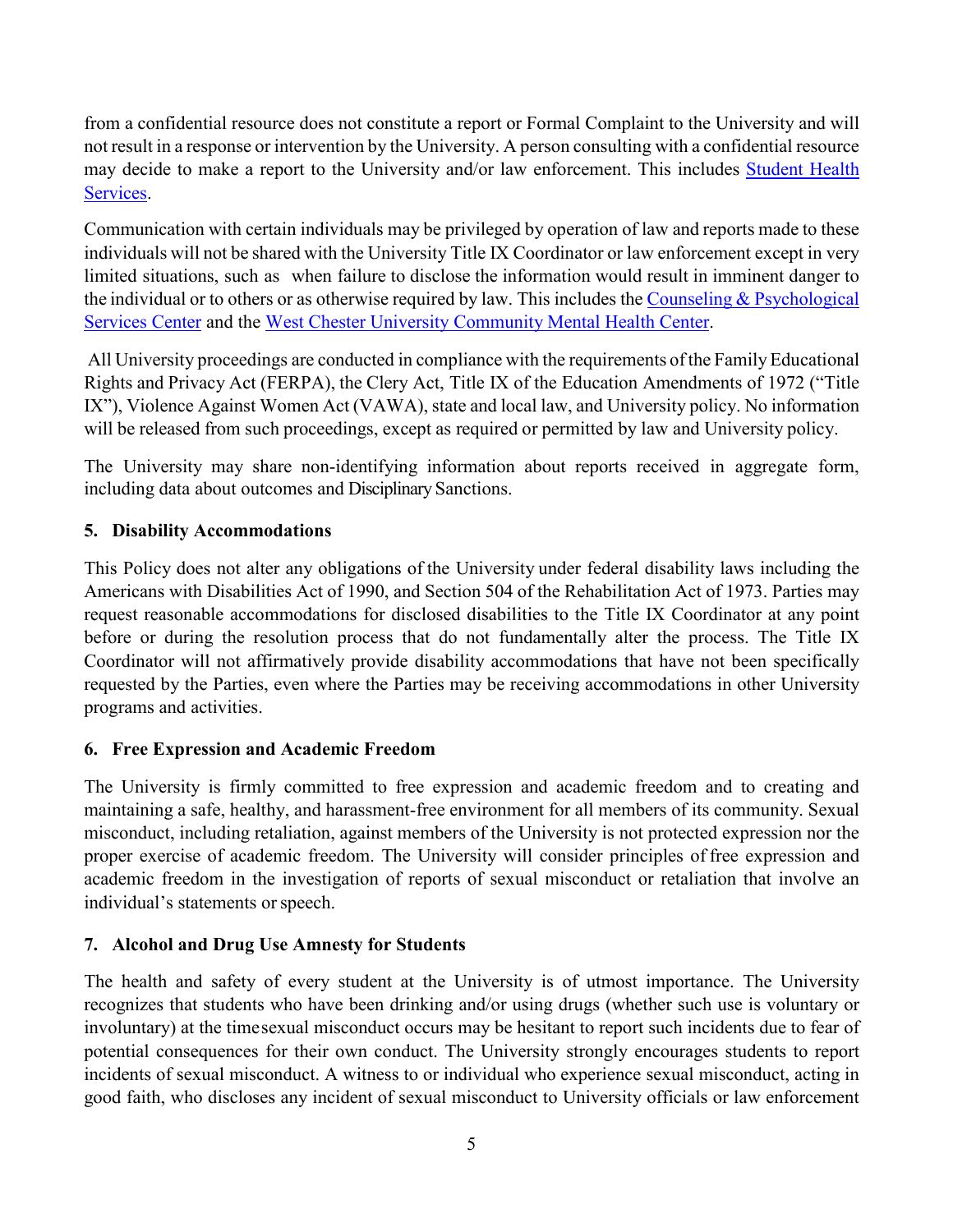from a confidential resource does not constitute a report or Formal Complaint to the University and will not result in a response or intervention by the University. A person consulting with a confidential resource may decide to make a report to the University and/or law enforcement. This includes **Student Health** [Services.](http://www.wcupa.edu/_services/studentHealthServices)

Communication with certain individuals may be privileged by operation of law and reports made to these individuals will not be shared with the University Title IX Coordinator or law enforcement except in very limited situations, such as when failure to disclose the information would result in imminent danger to the individual or to others or as otherwise required by law. This includes the [Counseling & Psychological](http://www.wcupa.edu/_services/counselingCenter)  [Services Center](http://www.wcupa.edu/_services/counselingCenter) and the [West Chester University Community Mental Health Center.](https://www.wcupa.edu/.../psyD/mentalHealthServices)

All University proceedings are conducted in compliance with the requirements of the Family Educational Rights and Privacy Act (FERPA), the Clery Act, Title IX of the Education Amendments of 1972 ("Title IX"), Violence Against Women Act (VAWA), state and local law, and University policy. No information will be released from such proceedings, except as required or permitted by law and University policy.

The University may share non-identifying information about reports received in aggregate form, including data about outcomes and Disciplinary Sanctions.

### <span id="page-4-0"></span>**5. Disability Accommodations**

This Policy does not alter any obligations of the University under federal disability laws including the Americans with Disabilities Act of 1990, and Section 504 of the Rehabilitation Act of 1973. Parties may request reasonable accommodations for disclosed disabilities to the Title IX Coordinator at any point before or during the resolution process that do not fundamentally alter the process. The Title IX Coordinator will not affirmatively provide disability accommodations that have not been specifically requested by the Parties, even where the Parties may be receiving accommodations in other University programs and activities.

### <span id="page-4-1"></span>**6. Free Expression and Academic Freedom**

The University is firmly committed to free expression and academic freedom and to creating and maintaining a safe, healthy, and harassment-free environment for all members of its community. Sexual misconduct, including retaliation, against members of the University is not protected expression nor the proper exercise of academic freedom. The University will consider principles of free expression and academic freedom in the investigation of reports of sexual misconduct or retaliation that involve an individual's statements or speech.

## <span id="page-4-2"></span>**7. Alcohol and Drug Use Amnesty for Students**

The health and safety of every student at the University is of utmost importance. The University recognizes that students who have been drinking and/or using drugs (whether such use is voluntary or involuntary) at the timesexual misconduct occurs may be hesitant to report such incidents due to fear of potential consequences for their own conduct. The University strongly encourages students to report incidents of sexual misconduct. A witness to or individual who experience sexual misconduct, acting in good faith, who discloses any incident of sexual misconduct to University officials or law enforcement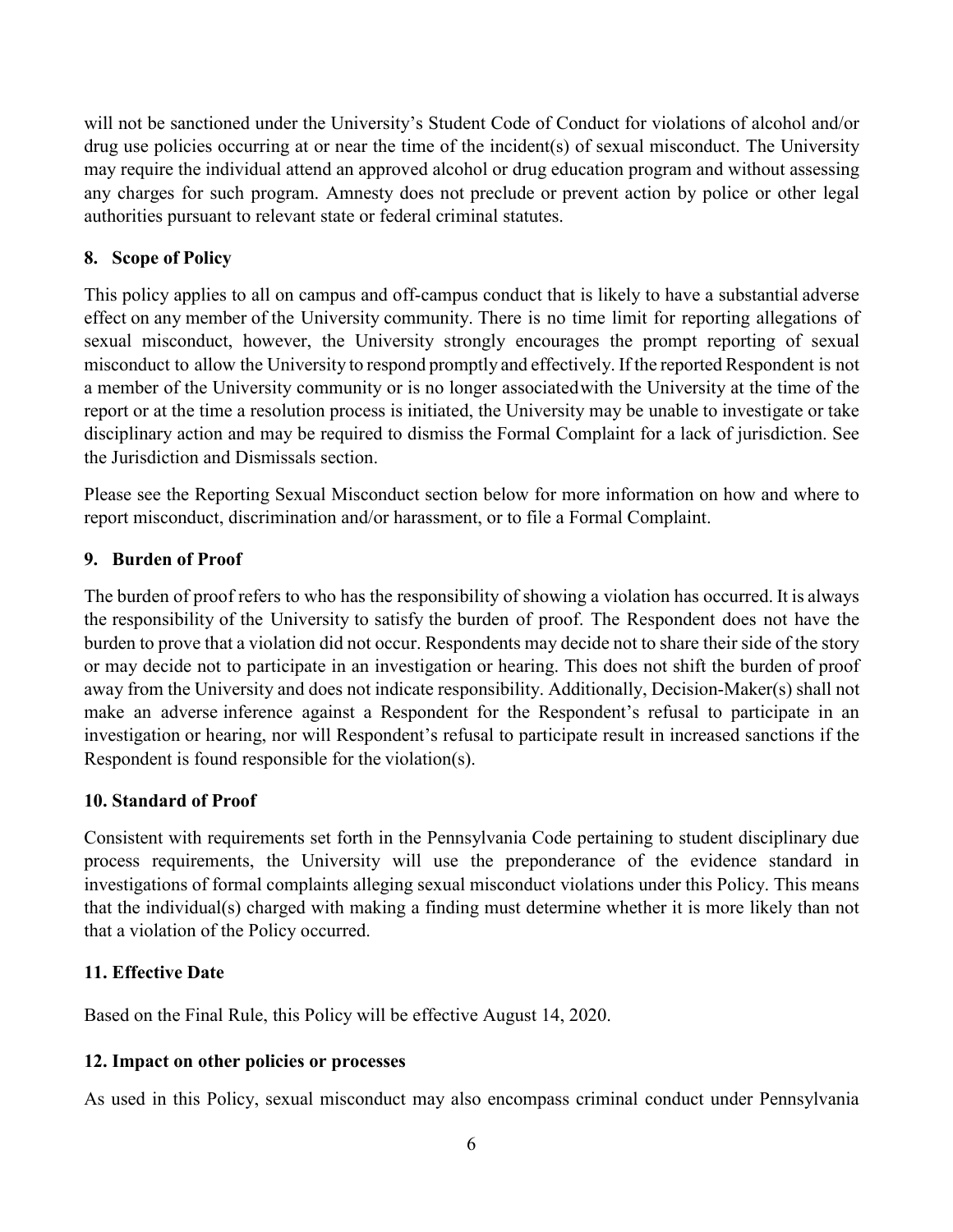will not be sanctioned under the University's Student Code of Conduct for violations of alcohol and/or drug use policies occurring at or near the time of the incident(s) of sexual misconduct. The University may require the individual attend an approved alcohol or drug education program and without assessing any charges for such program. Amnesty does not preclude or prevent action by police or other legal authorities pursuant to relevant state or federal criminal statutes.

### <span id="page-5-0"></span>**8. Scope of Policy**

This policy applies to all on campus and off-campus conduct that is likely to have a substantial adverse effect on any member of the University community. There is no time limit for reporting allegations of sexual misconduct, however, the University strongly encourages the prompt reporting of sexual misconduct to allow the University to respond promptly and effectively. If the reported Respondent is not a member of the University community or is no longer associatedwith the University at the time of the report or at the time a resolution process is initiated, the University may be unable to investigate or take disciplinary action and may be required to dismiss the Formal Complaint for a lack of jurisdiction. See the Jurisdiction and Dismissals section.

Please see the Reporting Sexual Misconduct section below for more information on how and where to report misconduct, discrimination and/or harassment, or to file a Formal Complaint.

### <span id="page-5-1"></span>**9. Burden of Proof**

The burden of proof refers to who has the responsibility of showing a violation has occurred. It is always the responsibility of the University to satisfy the burden of proof. The Respondent does not have the burden to prove that a violation did not occur. Respondents may decide not to share their side of the story or may decide not to participate in an investigation or hearing. This does not shift the burden of proof away from the University and does not indicate responsibility. Additionally, Decision-Maker(s) shall not make an adverse inference against a Respondent for the Respondent's refusal to participate in an investigation or hearing, nor will Respondent's refusal to participate result in increased sanctions if the Respondent is found responsible for the violation(s).

### <span id="page-5-2"></span>**10. Standard of Proof**

Consistent with requirements set forth in the Pennsylvania Code pertaining to student disciplinary due process requirements, the University will use the preponderance of the evidence standard in investigations of formal complaints alleging sexual misconduct violations under this Policy. This means that the individual(s) charged with making a finding must determine whether it is more likely than not that a violation of the Policy occurred.

### <span id="page-5-3"></span>**11. Effective Date**

Based on the Final Rule, this Policy will be effective August 14, 2020.

### <span id="page-5-4"></span>**12. Impact on other policies or processes**

As used in this Policy, sexual misconduct may also encompass criminal conduct under Pennsylvania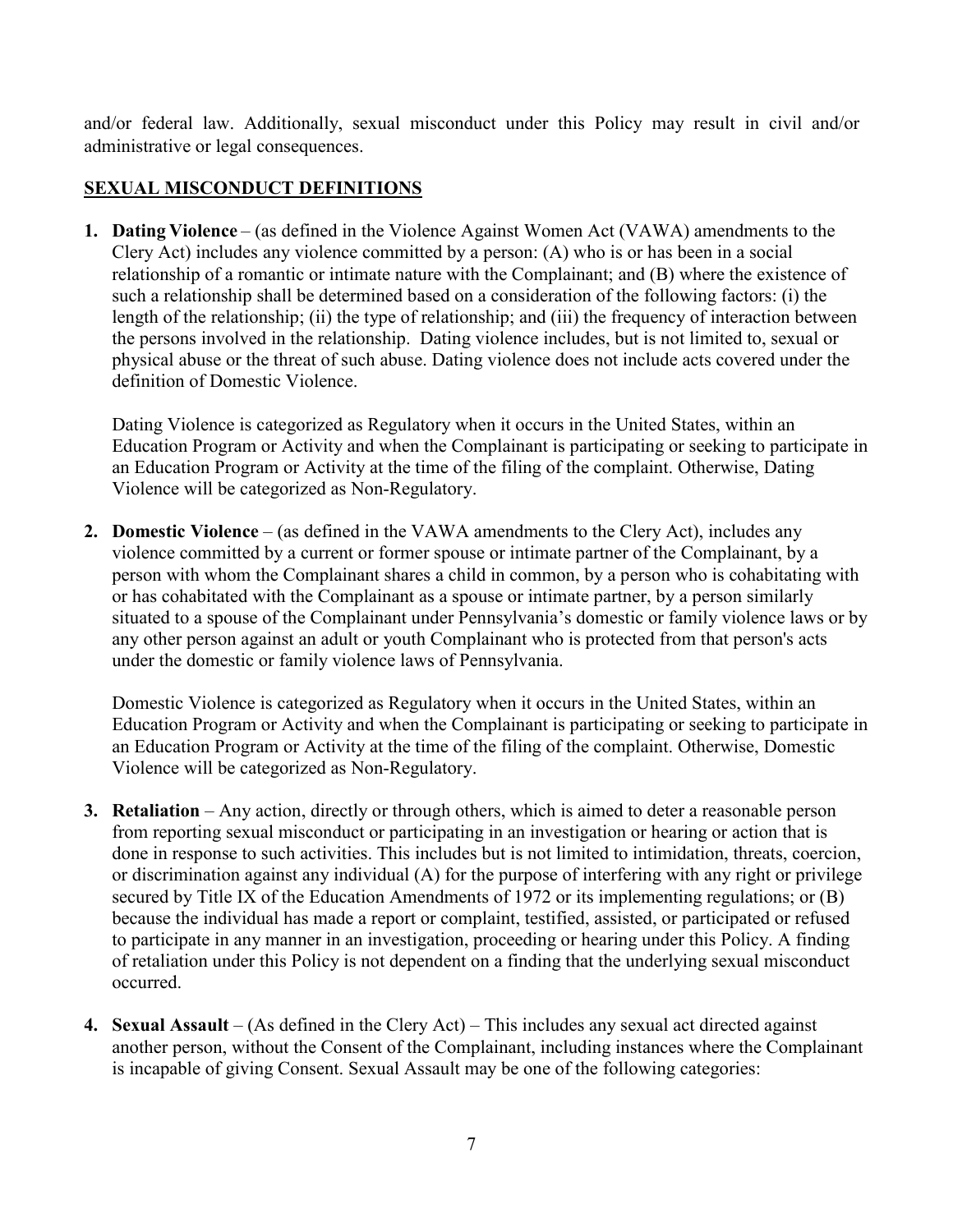and/or federal law. Additionally, sexual misconduct under this Policy may result in civil and/or administrative or legal consequences.

### <span id="page-6-0"></span>**SEXUAL MISCONDUCT DEFINITIONS**

**1. Dating Violence** – (as defined in the Violence Against Women Act (VAWA) amendments to the Clery Act) includes any violence committed by a person: (A) who is or has been in a social relationship of a romantic or intimate nature with the Complainant; and (B) where the existence of such a relationship shall be determined based on a consideration of the following factors: (i) the length of the relationship; (ii) the type of relationship; and (iii) the frequency of interaction between the persons involved in the relationship. Dating violence includes, but is not limited to, sexual or physical abuse or the threat of such abuse. Dating violence does not include acts covered under the definition of Domestic Violence.

Dating Violence is categorized as Regulatory when it occurs in the United States, within an Education Program or Activity and when the Complainant is participating or seeking to participate in an Education Program or Activity at the time of the filing of the complaint. Otherwise, Dating Violence will be categorized as Non-Regulatory.

**2. Domestic Violence** – (as defined in the VAWA amendments to the Clery Act), includes any violence committed by a current or former spouse or intimate partner of the Complainant, by a person with whom the Complainant shares a child in common, by a person who is cohabitating with or has cohabitated with the Complainant as a spouse or intimate partner, by a person similarly situated to a spouse of the Complainant under Pennsylvania's domestic or family violence laws or by any other person against an adult or youth Complainant who is protected from that person's acts under the domestic or family violence laws of Pennsylvania.

Domestic Violence is categorized as Regulatory when it occurs in the United States, within an Education Program or Activity and when the Complainant is participating or seeking to participate in an Education Program or Activity at the time of the filing of the complaint. Otherwise, Domestic Violence will be categorized as Non-Regulatory.

- **3. Retaliation** Any action, directly or through others, which is aimed to deter a reasonable person from reporting sexual misconduct or participating in an investigation or hearing or action that is done in response to such activities. This includes but is not limited to intimidation, threats, coercion, or discrimination against any individual (A) for the purpose of interfering with any right or privilege secured by Title IX of the Education Amendments of 1972 or its implementing regulations; or (B) because the individual has made a report or complaint, testified, assisted, or participated or refused to participate in any manner in an investigation, proceeding or hearing under this Policy. A finding of retaliation under this Policy is not dependent on a finding that the underlying sexual misconduct occurred.
- **4. Sexual Assault** (As defined in the Clery Act) This includes any sexual act directed against another person, without the Consent of the Complainant, including instances where the Complainant is incapable of giving Consent. Sexual Assault may be one of the following categories: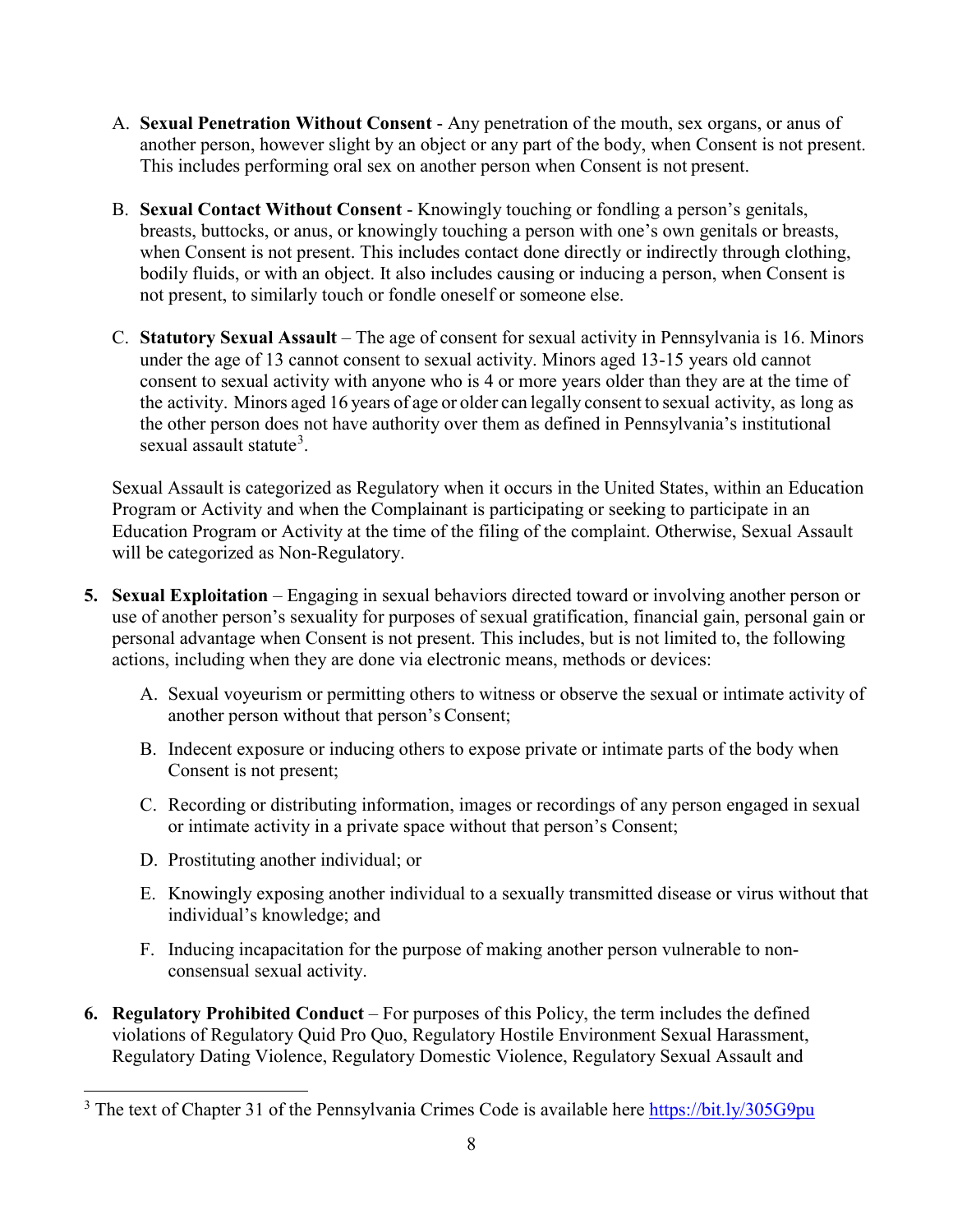- A. **Sexual Penetration Without Consent** Any penetration of the mouth, sex organs, or anus of another person, however slight by an object or any part of the body, when Consent is not present. This includes performing oral sex on another person when Consent is not present.
- B. **Sexual Contact Without Consent** Knowingly touching or fondling a person's genitals, breasts, buttocks, or anus, or knowingly touching a person with one's own genitals or breasts, when Consent is not present. This includes contact done directly or indirectly through clothing, bodily fluids, or with an object. It also includes causing or inducing a person, when Consent is not present, to similarly touch or fondle oneself or someone else.
- C. **Statutory Sexual Assault** The age of consent for sexual activity in Pennsylvania is 16. Minors under the age of 13 cannot consent to sexual activity. Minors aged 13-15 years old cannot consent to sexual activity with anyone who is 4 or more years older than they are at the time of the activity. Minors aged 16 years of age or older can legally consent to sexual activity, as long as the other person does not have authority over them as defined in Pennsylvania's institutional sexual assault statute<sup>[3](#page-7-0)</sup>.

Sexual Assault is categorized as Regulatory when it occurs in the United States, within an Education Program or Activity and when the Complainant is participating or seeking to participate in an Education Program or Activity at the time of the filing of the complaint. Otherwise, Sexual Assault will be categorized as Non-Regulatory.

- **5. Sexual Exploitation** Engaging in sexual behaviors directed toward or involving another person or use of another person's sexuality for purposes of sexual gratification, financial gain, personal gain or personal advantage when Consent is not present. This includes, but is not limited to, the following actions, including when they are done via electronic means, methods or devices:
	- A. Sexual voyeurism or permitting others to witness or observe the sexual or intimate activity of another person without that person's Consent;
	- B. Indecent exposure or inducing others to expose private or intimate parts of the body when Consent is not present;
	- C. Recording or distributing information, images or recordings of any person engaged in sexual or intimate activity in a private space without that person's Consent;
	- D. Prostituting another individual; or
	- E. Knowingly exposing another individual to a sexually transmitted disease or virus without that individual's knowledge; and
	- F. Inducing incapacitation for the purpose of making another person vulnerable to nonconsensual sexual activity.
- **6. Regulatory Prohibited Conduct** For purposes of this Policy, the term includes the defined violations of Regulatory Quid Pro Quo, Regulatory Hostile Environment Sexual Harassment, Regulatory Dating Violence, Regulatory Domestic Violence, Regulatory Sexual Assault and

<span id="page-7-0"></span><sup>&</sup>lt;sup>3</sup> The text of Chapter 31 of the Pennsylvania Crimes Code is available here<https://bit.ly/305G9pu>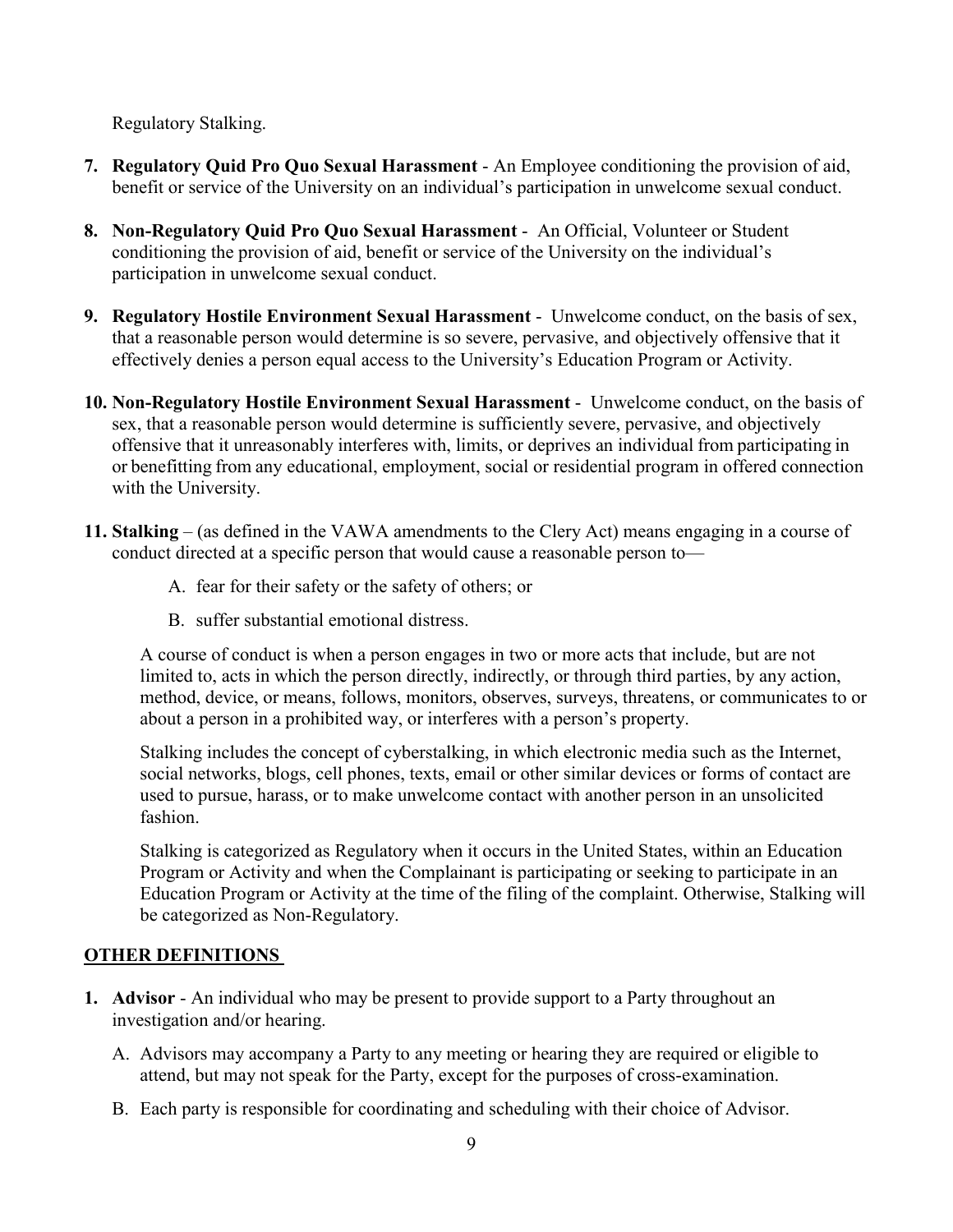Regulatory Stalking.

- **7. Regulatory Quid Pro Quo Sexual Harassment** An Employee conditioning the provision of aid, benefit or service of the University on an individual's participation in unwelcome sexual conduct.
- **8. Non-Regulatory Quid Pro Quo Sexual Harassment** An Official, Volunteer or Student conditioning the provision of aid, benefit or service of the University on the individual's participation in unwelcome sexual conduct.
- **9. Regulatory Hostile Environment Sexual Harassment** Unwelcome conduct, on the basis of sex, that a reasonable person would determine is so severe, pervasive, and objectively offensive that it effectively denies a person equal access to the University's Education Program or Activity.
- **10. Non-Regulatory Hostile Environment Sexual Harassment** Unwelcome conduct, on the basis of sex, that a reasonable person would determine is sufficiently severe, pervasive, and objectively offensive that it unreasonably interferes with, limits, or deprives an individual from participating in or benefitting from any educational, employment, social or residential program in offered connection with the University.
- **11. Stalking** (as defined in the VAWA amendments to the Clery Act) means engaging in a course of conduct directed at a specific person that would cause a reasonable person to—
	- A. fear for their safety or the safety of others; or
	- B. suffer substantial emotional distress.

A course of conduct is when a person engages in two or more acts that include, but are not limited to, acts in which the person directly, indirectly, or through third parties, by any action, method, device, or means, follows, monitors, observes, surveys, threatens, or communicates to or about a person in a prohibited way, or interferes with a person's property.

Stalking includes the concept of cyberstalking, in which electronic media such as the Internet, social networks, blogs, cell phones, texts, email or other similar devices or forms of contact are used to pursue, harass, or to make unwelcome contact with another person in an unsolicited fashion.

Stalking is categorized as Regulatory when it occurs in the United States, within an Education Program or Activity and when the Complainant is participating or seeking to participate in an Education Program or Activity at the time of the filing of the complaint. Otherwise, Stalking will be categorized as Non-Regulatory.

## <span id="page-8-0"></span>**OTHER DEFINITIONS**

- **1. Advisor** An individual who may be present to provide support to a Party throughout an investigation and/or hearing.
	- A. Advisors may accompany a Party to any meeting or hearing they are required or eligible to attend, but may not speak for the Party, except for the purposes of cross-examination.
	- B. Each party is responsible for coordinating and scheduling with their choice of Advisor.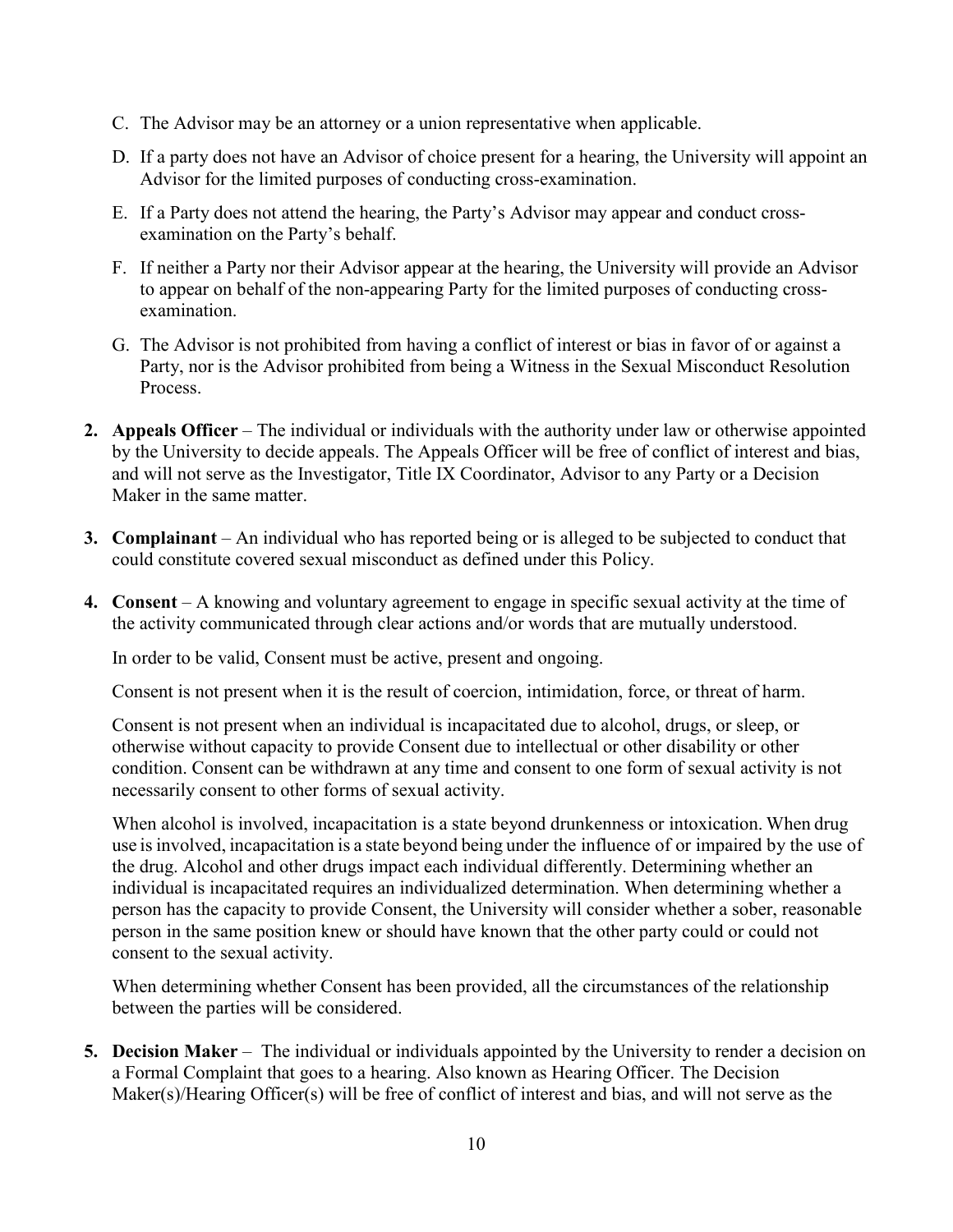- C. The Advisor may be an attorney or a union representative when applicable.
- D. If a party does not have an Advisor of choice present for a hearing, the University will appoint an Advisor for the limited purposes of conducting cross-examination.
- E. If a Party does not attend the hearing, the Party's Advisor may appear and conduct crossexamination on the Party's behalf.
- F. If neither a Party nor their Advisor appear at the hearing, the University will provide an Advisor to appear on behalf of the non-appearing Party for the limited purposes of conducting crossexamination.
- G. The Advisor is not prohibited from having a conflict of interest or bias in favor of or against a Party, nor is the Advisor prohibited from being a Witness in the Sexual Misconduct Resolution Process.
- **2. Appeals Officer** The individual or individuals with the authority under law or otherwise appointed by the University to decide appeals. The Appeals Officer will be free of conflict of interest and bias, and will not serve as the Investigator, Title IX Coordinator, Advisor to any Party or a Decision Maker in the same matter.
- **3. Complainant** An individual who has reported being or is alleged to be subjected to conduct that could constitute covered sexual misconduct as defined under this Policy.
- **4. Consent** A knowing and voluntary agreement to engage in specific sexual activity at the time of the activity communicated through clear actions and/or words that are mutually understood.

In order to be valid, Consent must be active, present and ongoing.

Consent is not present when it is the result of coercion, intimidation, force, or threat of harm.

Consent is not present when an individual is incapacitated due to alcohol, drugs, or sleep, or otherwise without capacity to provide Consent due to intellectual or other disability or other condition. Consent can be withdrawn at any time and consent to one form of sexual activity is not necessarily consent to other forms of sexual activity.

When alcohol is involved, incapacitation is a state beyond drunkenness or intoxication. When drug use isinvolved, incapacitation is a state beyond being under the influence of or impaired by the use of the drug. Alcohol and other drugs impact each individual differently. Determining whether an individual is incapacitated requires an individualized determination. When determining whether a person has the capacity to provide Consent, the University will consider whether a sober, reasonable person in the same position knew or should have known that the other party could or could not consent to the sexual activity.

When determining whether Consent has been provided, all the circumstances of the relationship between the parties will be considered.

**5. Decision Maker** – The individual or individuals appointed by the University to render a decision on a Formal Complaint that goes to a hearing. Also known as Hearing Officer. The Decision Maker(s)/Hearing Officer(s) will be free of conflict of interest and bias, and will not serve as the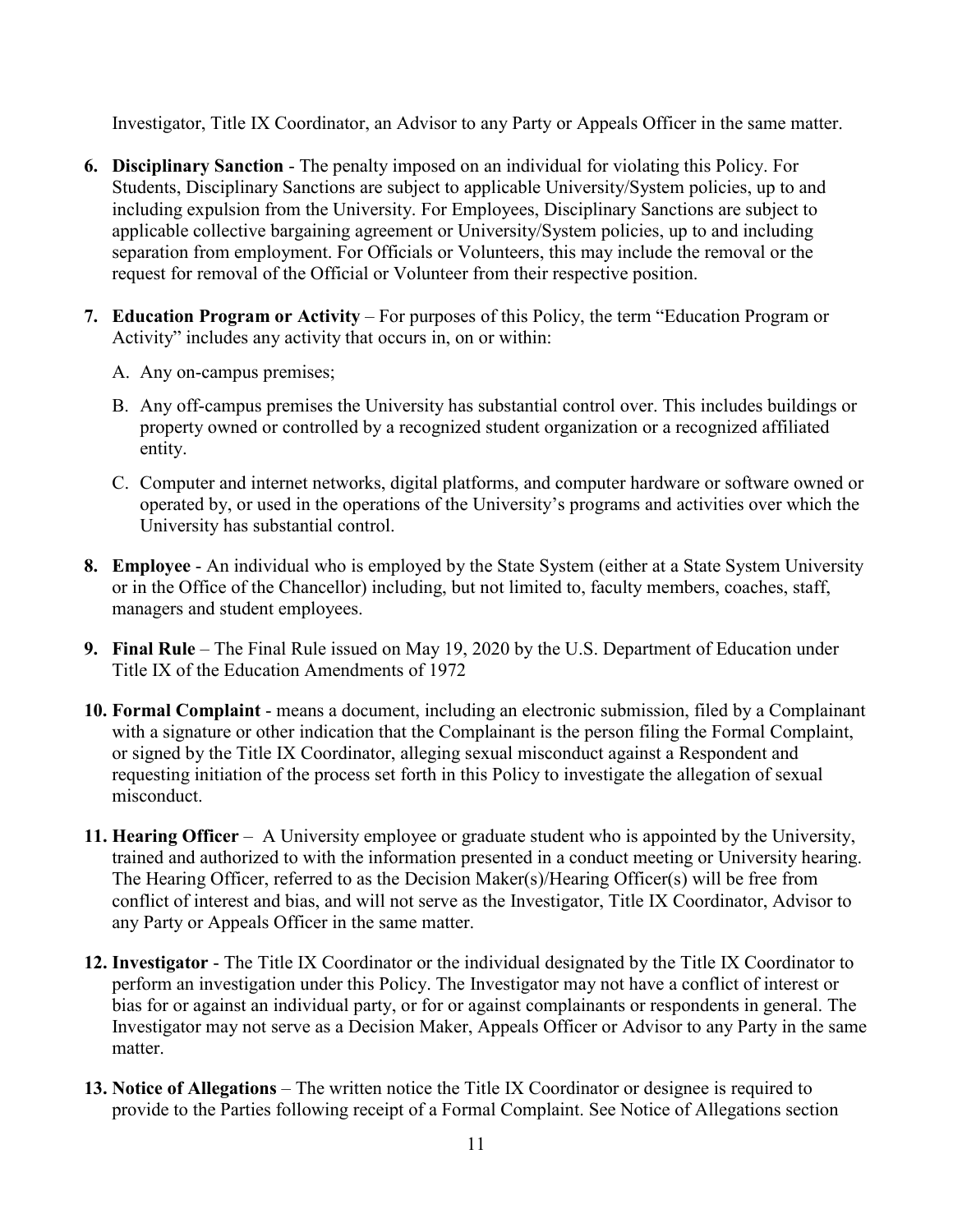Investigator, Title IX Coordinator, an Advisor to any Party or Appeals Officer in the same matter.

- **6. Disciplinary Sanction** The penalty imposed on an individual for violating this Policy. For Students, Disciplinary Sanctions are subject to applicable University/System policies, up to and including expulsion from the University. For Employees, Disciplinary Sanctions are subject to applicable collective bargaining agreement or University/System policies, up to and including separation from employment. For Officials or Volunteers, this may include the removal or the request for removal of the Official or Volunteer from their respective position.
- **7. Education Program or Activity** For purposes of this Policy, the term "Education Program or Activity" includes any activity that occurs in, on or within:
	- A. Any on-campus premises;
	- B. Any off-campus premises the University has substantial control over. This includes buildings or property owned or controlled by a recognized student organization or a recognized affiliated entity.
	- C. Computer and internet networks, digital platforms, and computer hardware or software owned or operated by, or used in the operations of the University's programs and activities over which the University has substantial control.
- **8. Employee** An individual who is employed by the State System (either at a State System University or in the Office of the Chancellor) including, but not limited to, faculty members, coaches, staff, managers and student employees.
- **9. Final Rule** The Final Rule issued on May 19, 2020 by the U.S. Department of Education under Title IX of the Education Amendments of 1972
- **10. Formal Complaint** means a document, including an electronic submission, filed by a Complainant with a signature or other indication that the Complainant is the person filing the Formal Complaint, or signed by the Title IX Coordinator, alleging sexual misconduct against a Respondent and requesting initiation of the process set forth in this Policy to investigate the allegation of sexual misconduct.
- **11. Hearing Officer** A University employee or graduate student who is appointed by the University, trained and authorized to with the information presented in a conduct meeting or University hearing. The Hearing Officer, referred to as the Decision Maker(s)/Hearing Officer(s) will be free from conflict of interest and bias, and will not serve as the Investigator, Title IX Coordinator, Advisor to any Party or Appeals Officer in the same matter.
- **12. Investigator** The Title IX Coordinator or the individual designated by the Title IX Coordinator to perform an investigation under this Policy. The Investigator may not have a conflict of interest or bias for or against an individual party, or for or against complainants or respondents in general. The Investigator may not serve as a Decision Maker, Appeals Officer or Advisor to any Party in the same matter.
- **13. Notice of Allegations** The written notice the Title IX Coordinator or designee is required to provide to the Parties following receipt of a Formal Complaint. See Notice of Allegations section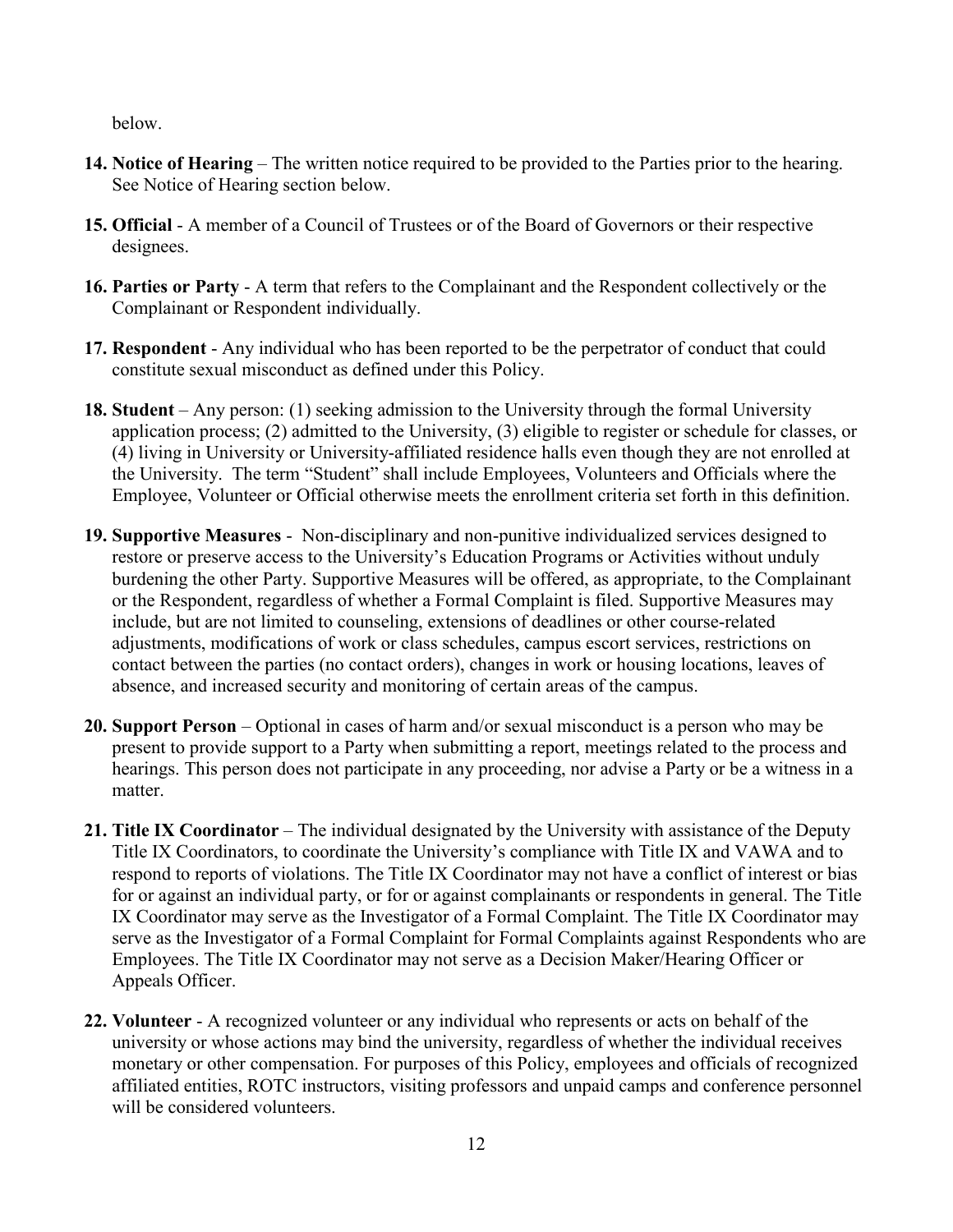below.

- **14. Notice of Hearing** The written notice required to be provided to the Parties prior to the hearing. See Notice of Hearing section below.
- **15. Official** A member of a Council of Trustees or of the Board of Governors or their respective designees.
- **16. Parties or Party** A term that refers to the Complainant and the Respondent collectively or the Complainant or Respondent individually.
- **17. Respondent** Any individual who has been reported to be the perpetrator of conduct that could constitute sexual misconduct as defined under this Policy.
- **18. Student** Any person: (1) seeking admission to the University through the formal University application process; (2) admitted to the University, (3) eligible to register or schedule for classes, or (4) living in University or University-affiliated residence halls even though they are not enrolled at the University. The term "Student" shall include Employees, Volunteers and Officials where the Employee, Volunteer or Official otherwise meets the enrollment criteria set forth in this definition.
- **19. Supportive Measures** Non-disciplinary and non-punitive individualized services designed to restore or preserve access to the University's Education Programs or Activities without unduly burdening the other Party. Supportive Measures will be offered, as appropriate, to the Complainant or the Respondent, regardless of whether a Formal Complaint is filed. Supportive Measures may include, but are not limited to counseling, extensions of deadlines or other course-related adjustments, modifications of work or class schedules, campus escort services, restrictions on contact between the parties (no contact orders), changes in work or housing locations, leaves of absence, and increased security and monitoring of certain areas of the campus.
- **20. Support Person** Optional in cases of harm and/or sexual misconduct is a person who may be present to provide support to a Party when submitting a report, meetings related to the process and hearings. This person does not participate in any proceeding, nor advise a Party or be a witness in a matter.
- **21. Title IX Coordinator** The individual designated by the University with assistance of the Deputy Title IX Coordinators, to coordinate the University's compliance with Title IX and VAWA and to respond to reports of violations. The Title IX Coordinator may not have a conflict of interest or bias for or against an individual party, or for or against complainants or respondents in general. The Title IX Coordinator may serve as the Investigator of a Formal Complaint. The Title IX Coordinator may serve as the Investigator of a Formal Complaint for Formal Complaints against Respondents who are Employees. The Title IX Coordinator may not serve as a Decision Maker/Hearing Officer or Appeals Officer.
- **22. Volunteer** A recognized volunteer or any individual who represents or acts on behalf of the university or whose actions may bind the university, regardless of whether the individual receives monetary or other compensation. For purposes of this Policy, employees and officials of recognized affiliated entities, ROTC instructors, visiting professors and unpaid camps and conference personnel will be considered volunteers.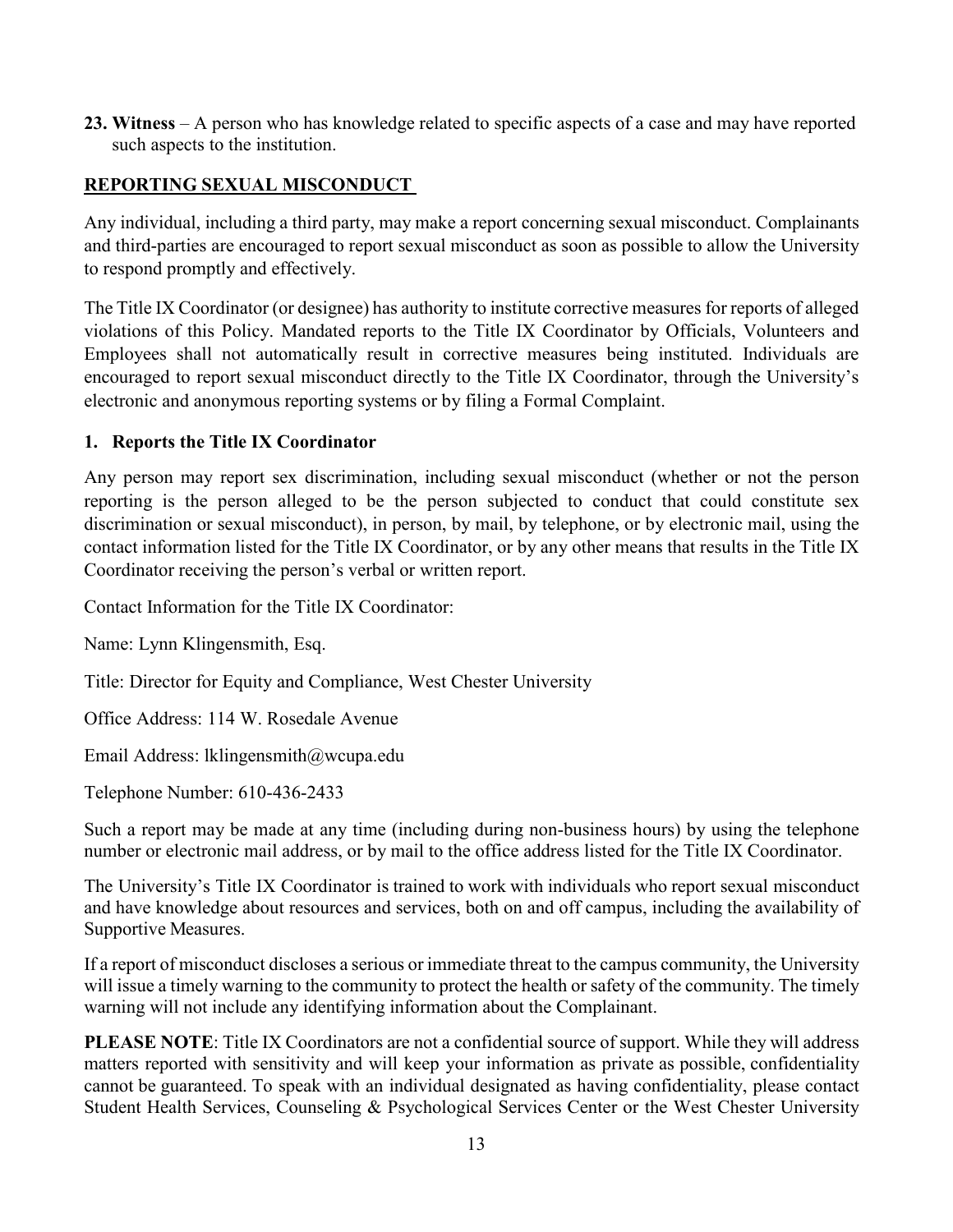**23. Witness** – A person who has knowledge related to specific aspects of a case and may have reported such aspects to the institution.

### <span id="page-12-0"></span>**REPORTING SEXUAL MISCONDUCT**

Any individual, including a third party, may make a report concerning sexual misconduct. Complainants and third-parties are encouraged to report sexual misconduct as soon as possible to allow the University to respond promptly and effectively.

The Title IX Coordinator (or designee) has authority to institute corrective measures for reports of alleged violations of this Policy. Mandated reports to the Title IX Coordinator by Officials, Volunteers and Employees shall not automatically result in corrective measures being instituted. Individuals are encouraged to report sexual misconduct directly to the Title IX Coordinator, through the University's electronic and anonymous reporting systems or by filing a Formal Complaint.

### <span id="page-12-1"></span>**1. Reports the Title IX Coordinator**

Any person may report sex discrimination, including sexual misconduct (whether or not the person reporting is the person alleged to be the person subjected to conduct that could constitute sex discrimination or sexual misconduct), in person, by mail, by telephone, or by electronic mail, using the contact information listed for the Title IX Coordinator, or by any other means that results in the Title IX Coordinator receiving the person's verbal or written report.

Contact Information for the Title IX Coordinator:

Name: Lynn Klingensmith, Esq.

Title: Director for Equity and Compliance, West Chester University

Office Address: 114 W. Rosedale Avenue

Email Address: lklingensmith@wcupa.edu

Telephone Number: 610-436-2433

Such a report may be made at any time (including during non-business hours) by using the telephone number or electronic mail address, or by mail to the office address listed for the Title IX Coordinator.

The University's Title IX Coordinator is trained to work with individuals who report sexual misconduct and have knowledge about resources and services, both on and off campus, including the availability of Supportive Measures.

If a report of misconduct discloses a serious or immediate threat to the campus community, the University will issue a timely warning to the community to protect the health or safety of the community. The timely warning will not include any identifying information about the Complainant.

**PLEASE NOTE**: Title IX Coordinators are not a confidential source of support. While they will address matters reported with sensitivity and will keep your information as private as possible, confidentiality cannot be guaranteed. To speak with an individual designated as having confidentiality, please contact Student Health Services, Counseling & Psychological Services Center or the West Chester University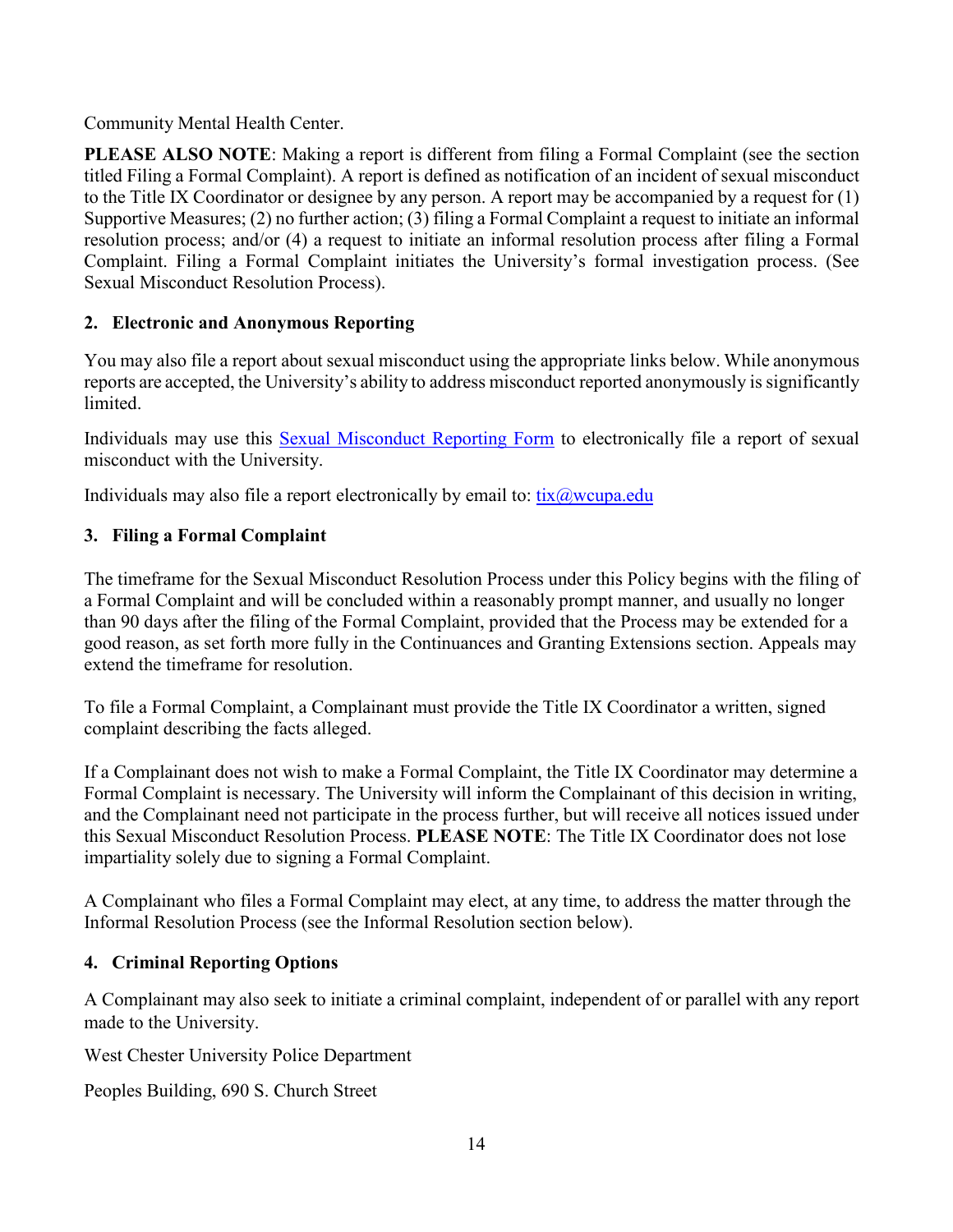Community Mental Health Center.

**PLEASE ALSO NOTE**: Making a report is different from filing a Formal Complaint (see the section titled Filing a Formal Complaint). A report is defined as notification of an incident of sexual misconduct to the Title IX Coordinator or designee by any person. A report may be accompanied by a request for (1) Supportive Measures; (2) no further action; (3) filing a Formal Complaint a request to initiate an informal resolution process; and/or (4) a request to initiate an informal resolution process after filing a Formal Complaint. Filing a Formal Complaint initiates the University's formal investigation process. (See Sexual Misconduct Resolution Process).

## <span id="page-13-0"></span>**2. Electronic and Anonymous Reporting**

You may also file a report about sexual misconduct using the appropriate links below. While anonymous reports are accepted, the University's ability to address misconduct reported anonymously is significantly limited.

Individuals may use this [Sexual Misconduct Reporting Form](https://www.wcupa.edu/_admin/diversityEquityInclusion/sexualmisconduct) to electronically file a report of sexual misconduct with the University.

Individuals may also file a report electronically by email to:  $\frac{fix(\partial)$  weupa.edu

## <span id="page-13-1"></span>**3. Filing a Formal Complaint**

The timeframe for the Sexual Misconduct Resolution Process under this Policy begins with the filing of a Formal Complaint and will be concluded within a reasonably prompt manner, and usually no longer than 90 days after the filing of the Formal Complaint, provided that the Process may be extended for a good reason, as set forth more fully in the Continuances and Granting Extensions section. Appeals may extend the timeframe for resolution.

To file a Formal Complaint, a Complainant must provide the Title IX Coordinator a written, signed complaint describing the facts alleged.

If a Complainant does not wish to make a Formal Complaint, the Title IX Coordinator may determine a Formal Complaint is necessary. The University will inform the Complainant of this decision in writing, and the Complainant need not participate in the process further, but will receive all notices issued under this Sexual Misconduct Resolution Process. **PLEASE NOTE**: The Title IX Coordinator does not lose impartiality solely due to signing a Formal Complaint.

A Complainant who files a Formal Complaint may elect, at any time, to address the matter through the Informal Resolution Process (see the Informal Resolution section below).

## <span id="page-13-2"></span>**4. Criminal Reporting Options**

A Complainant may also seek to initiate a criminal complaint, independent of or parallel with any report made to the University.

West Chester University Police Department

Peoples Building, 690 S. Church Street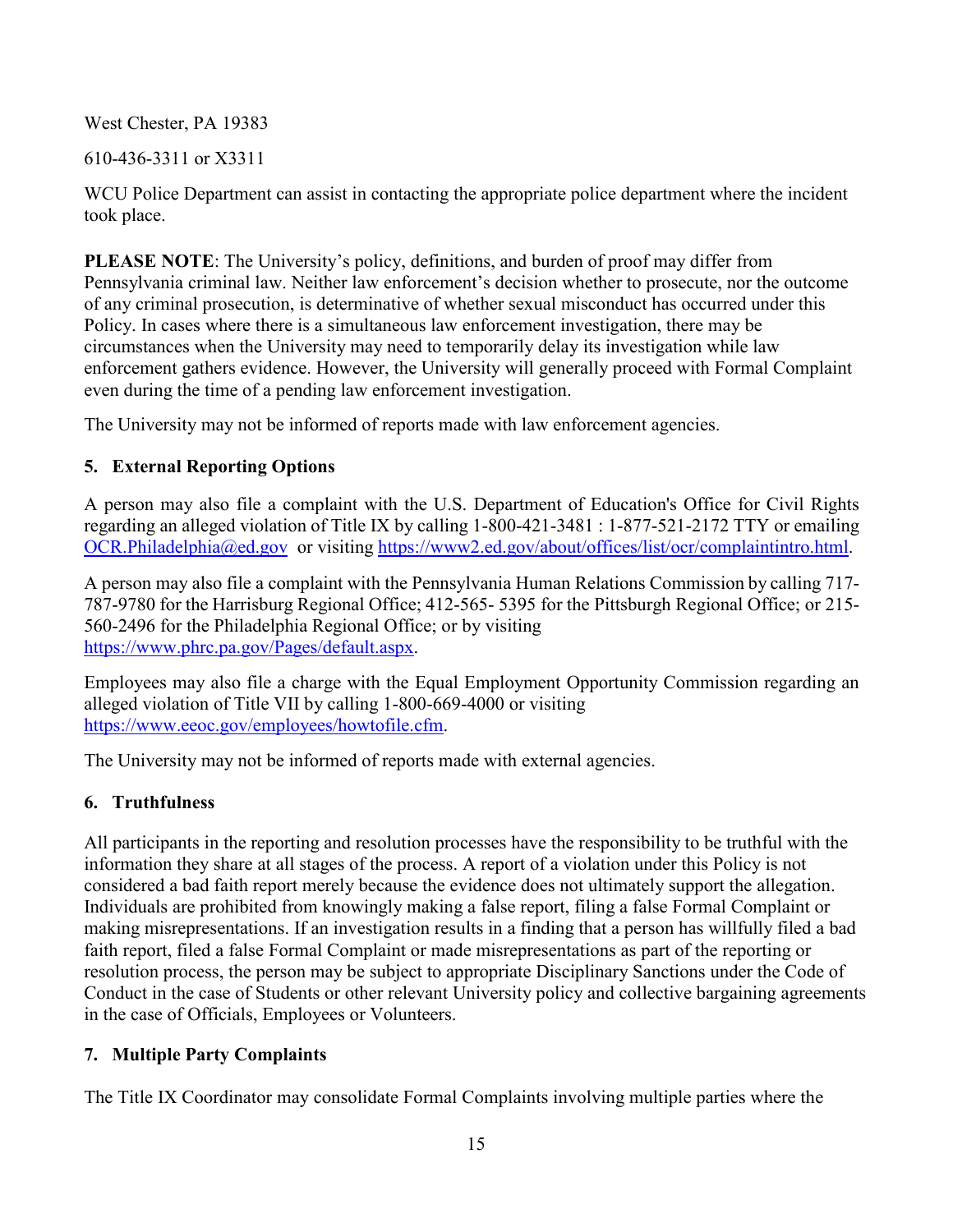West Chester, PA 19383

610-436-3311 or X3311

WCU Police Department can assist in contacting the appropriate police department where the incident took place.

**PLEASE NOTE**: The University's policy, definitions, and burden of proof may differ from Pennsylvania criminal law. Neither law enforcement's decision whether to prosecute, nor the outcome of any criminal prosecution, is determinative of whether sexual misconduct has occurred under this Policy. In cases where there is a simultaneous law enforcement investigation, there may be circumstances when the University may need to temporarily delay its investigation while law enforcement gathers evidence. However, the University will generally proceed with Formal Complaint even during the time of a pending law enforcement investigation.

The University may not be informed of reports made with law enforcement agencies.

## <span id="page-14-0"></span>**5. External Reporting Options**

A person may also file a complaint with the U.S. Department of Education's Office for Civil Rights regarding an alleged violation of Title IX by calling 1-800[-421-3481 : 1-877-521-2172 TTY](mailto:421-3481%20:%201-877-521-2172%20TTY) or emailing [OCR.Philadelphia@ed.gov](mailto:OCR.Philadelphia@ed.gov) or visiting [https://www2.ed.gov/about/offices/list/ocr/complaintintro.html.](https://www2.ed.gov/about/offices/list/ocr/complaintintro.html)

A person may also file a complaint with the Pennsylvania Human Relations Commission by calling 717- 787-9780 for the Harrisburg Regional Office; 412-565- 5395 for the Pittsburgh Regional Office; or 215- 560-2496 for the Philadelphia Regional Office; or by visiting [https://www.phrc.pa.gov/Pages/default.aspx.](https://www.phrc.pa.gov/Pages/default.aspx)

Employees may also file a charge with the Equal Employment Opportunity Commission regarding an alleged violation of Title VII by calling 1-800-669-4000 or visiting [https://www.eeoc.gov/employees/howtofile.cfm.](https://www.eeoc.gov/employees/howtofile.cfm)

The University may not be informed of reports made with external agencies.

## <span id="page-14-1"></span>**6. Truthfulness**

All participants in the reporting and resolution processes have the responsibility to be truthful with the information they share at all stages of the process. A report of a violation under this Policy is not considered a bad faith report merely because the evidence does not ultimately support the allegation. Individuals are prohibited from knowingly making a false report, filing a false Formal Complaint or making misrepresentations. If an investigation results in a finding that a person has willfully filed a bad faith report, filed a false Formal Complaint or made misrepresentations as part of the reporting or resolution process, the person may be subject to appropriate Disciplinary Sanctions under the Code of Conduct in the case of Students or other relevant University policy and collective bargaining agreements in the case of Officials, Employees or Volunteers.

# <span id="page-14-2"></span>**7. Multiple Party Complaints**

The Title IX Coordinator may consolidate Formal Complaints involving multiple parties where the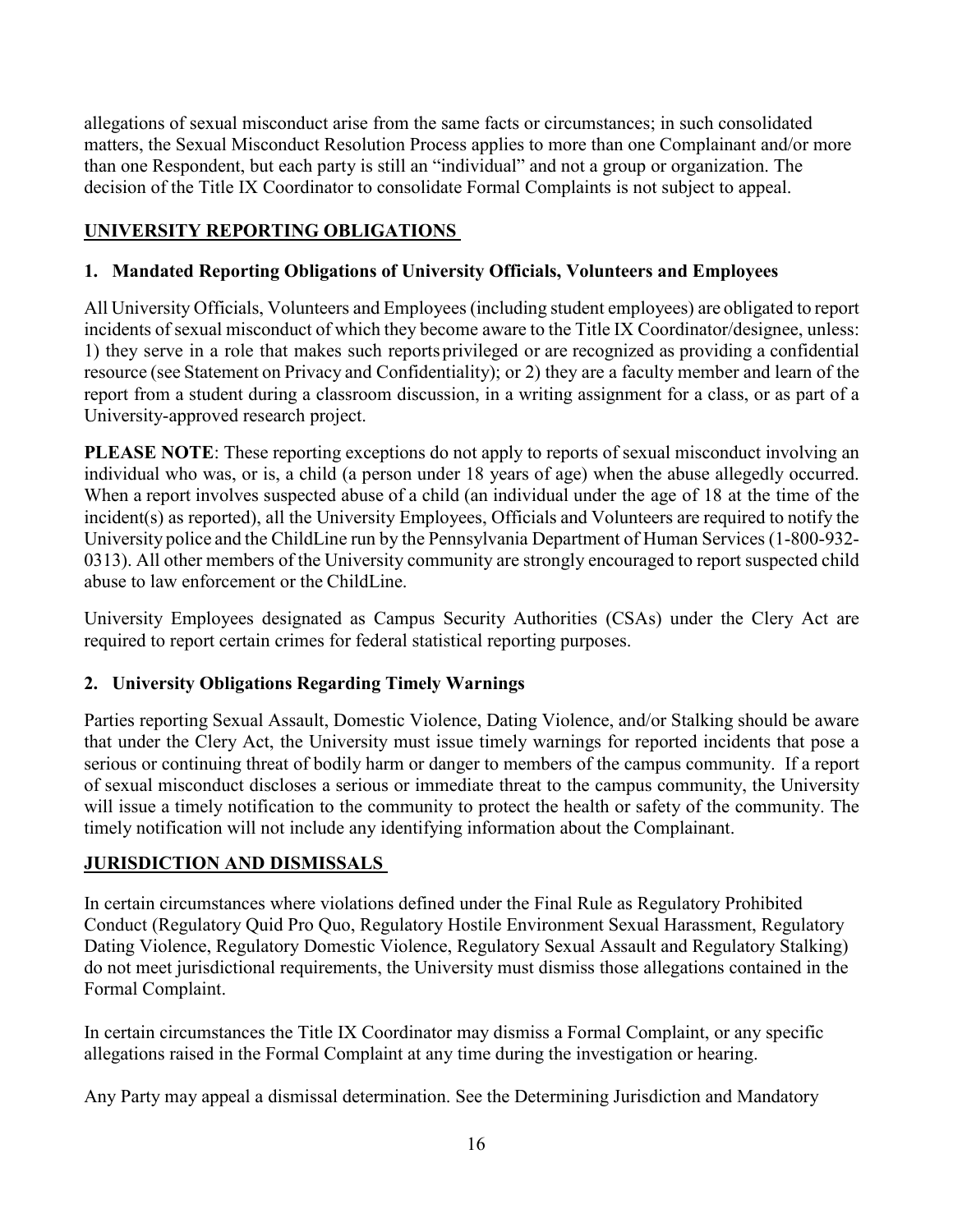allegations of sexual misconduct arise from the same facts or circumstances; in such consolidated matters, the Sexual Misconduct Resolution Process applies to more than one Complainant and/or more than one Respondent, but each party is still an "individual" and not a group or organization. The decision of the Title IX Coordinator to consolidate Formal Complaints is not subject to appeal.

### <span id="page-15-0"></span>**UNIVERSITY REPORTING OBLIGATIONS**

### <span id="page-15-1"></span>**1. Mandated Reporting Obligations of University Officials, Volunteers and Employees**

All University Officials, Volunteers and Employees (including student employees) are obligated to report incidents of sexual misconduct of which they become aware to the Title IX Coordinator/designee, unless: 1) they serve in a role that makes such reports privileged or are recognized as providing a confidential resource (see Statement on Privacy and Confidentiality); or 2) they are a faculty member and learn of the report from a student during a classroom discussion, in a writing assignment for a class, or as part of a University-approved research project.

**PLEASE NOTE**: These reporting exceptions do not apply to reports of sexual misconduct involving an individual who was, or is, a child (a person under 18 years of age) when the abuse allegedly occurred. When a report involves suspected abuse of a child (an individual under the age of 18 at the time of the incident(s) as reported), all the University Employees, Officials and Volunteers are required to notify the University police and the [ChildLine](http://www.dhs.pa.gov/citizens/reportabuse/index.htm) run by the Pennsylvania Department of Human Services (1-800-932- 0313). All other members of the University community are strongly encouraged to report suspected child abuse to law enforcement or the [ChildLine.](http://www.dhs.pa.gov/citizens/reportabuse/index.htm)

University Employees designated as Campus Security Authorities (CSAs) under the Clery Act are required to report certain crimes for federal statistical reporting purposes.

### <span id="page-15-2"></span>**2. University Obligations Regarding Timely Warnings**

Parties reporting Sexual Assault, Domestic Violence, Dating Violence, and/or Stalking should be aware that under the Clery Act, the University must issue timely warnings for reported incidents that pose a serious or continuing threat of bodily harm or danger to members of the campus community. If a report of sexual misconduct discloses a serious or immediate threat to the campus community, the University will issue a timely notification to the community to protect the health or safety of the community. The timely notification will not include any identifying information about the Complainant.

### <span id="page-15-3"></span>**JURISDICTION AND DISMISSALS**

In certain circumstances where violations defined under the Final Rule as Regulatory Prohibited Conduct (Regulatory Quid Pro Quo, Regulatory Hostile Environment Sexual Harassment, Regulatory Dating Violence, Regulatory Domestic Violence, Regulatory Sexual Assault and Regulatory Stalking) do not meet jurisdictional requirements, the University must dismiss those allegations contained in the Formal Complaint.

In certain circumstances the Title IX Coordinator may dismiss a Formal Complaint, or any specific allegations raised in the Formal Complaint at any time during the investigation or hearing.

Any Party may appeal a dismissal determination. See the Determining Jurisdiction and Mandatory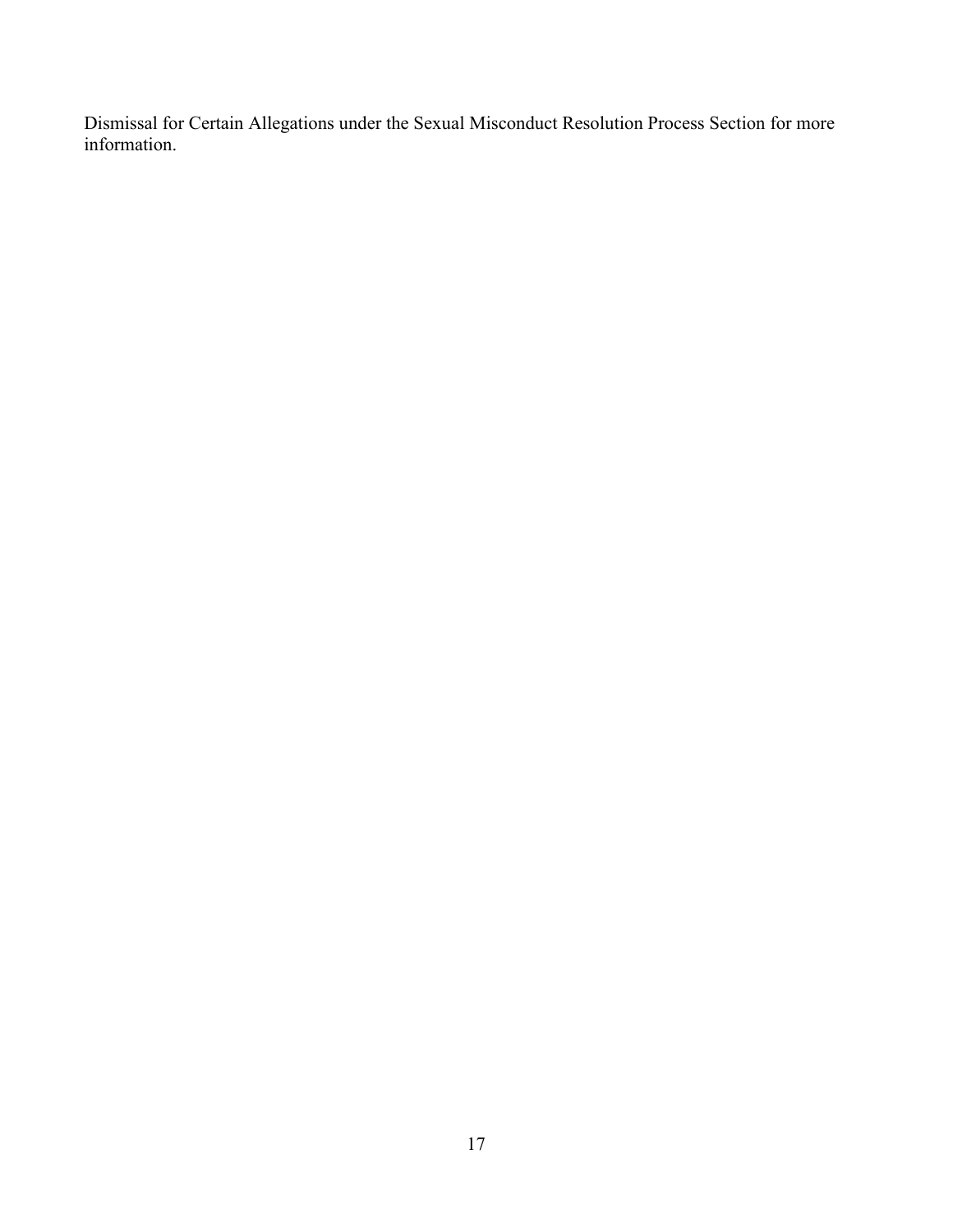Dismissal for Certain Allegations under the Sexual Misconduct Resolution Process Section for more information.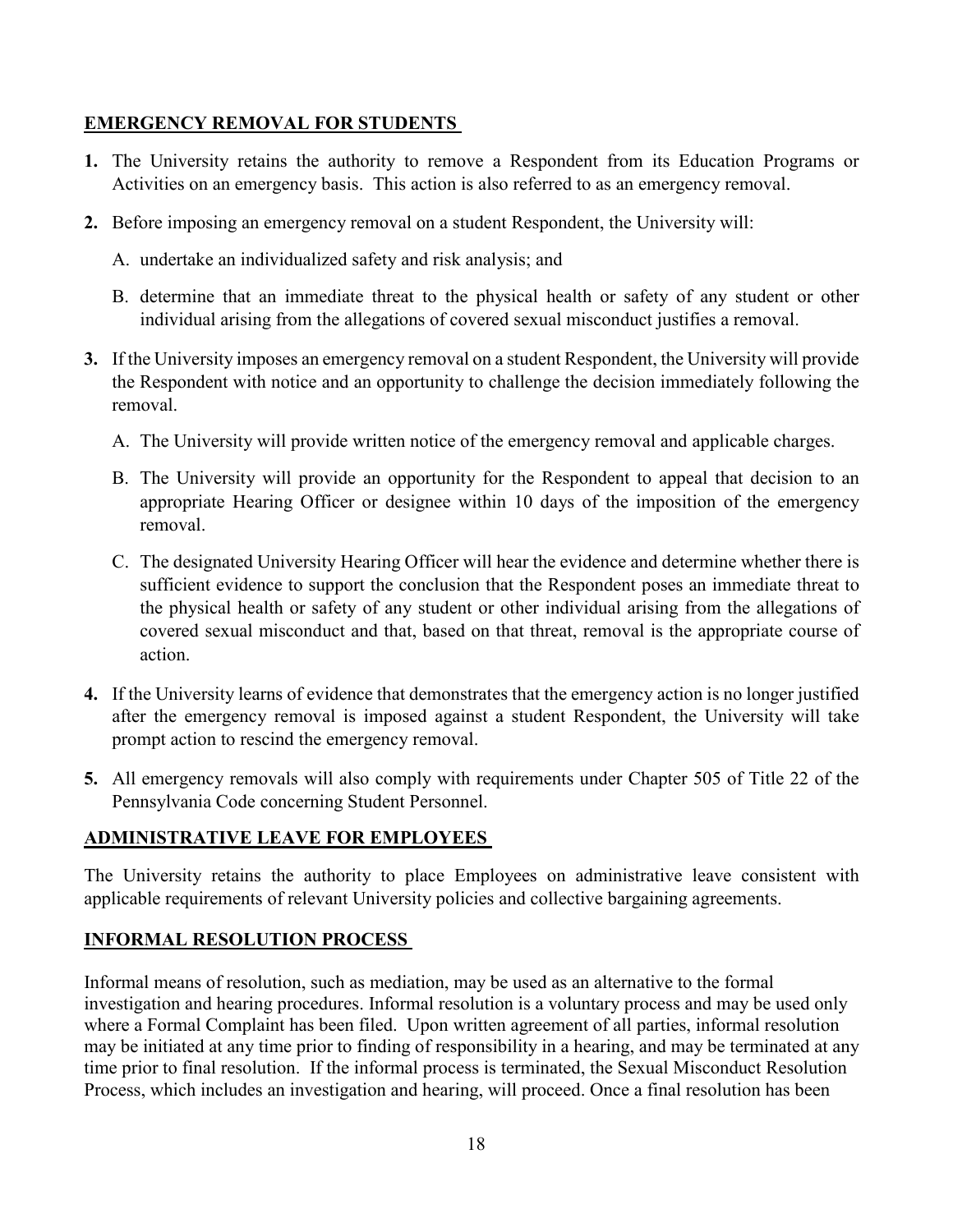### <span id="page-17-0"></span>**EMERGENCY REMOVAL FOR STUDENTS**

- **1.** The University retains the authority to remove a Respondent from its Education Programs or Activities on an emergency basis. This action is also referred to as an emergency removal.
- **2.** Before imposing an emergency removal on a student Respondent, the University will:
	- A. undertake an individualized safety and risk analysis; and
	- B. determine that an immediate threat to the physical health or safety of any student or other individual arising from the allegations of covered sexual misconduct justifies a removal.
- **3.** If the University imposes an emergency removal on a student Respondent, the University will provide the Respondent with notice and an opportunity to challenge the decision immediately following the removal.
	- A. The University will provide written notice of the emergency removal and applicable charges.
	- B. The University will provide an opportunity for the Respondent to appeal that decision to an appropriate Hearing Officer or designee within 10 days of the imposition of the emergency removal.
	- C. The designated University Hearing Officer will hear the evidence and determine whether there is sufficient evidence to support the conclusion that the Respondent poses an immediate threat to the physical health or safety of any student or other individual arising from the allegations of covered sexual misconduct and that, based on that threat, removal is the appropriate course of action.
- **4.** If the University learns of evidence that demonstrates that the emergency action is no longer justified after the emergency removal is imposed against a student Respondent, the University will take prompt action to rescind the emergency removal.
- **5.** All emergency removals will also comply with requirements under Chapter 505 of Title 22 of the Pennsylvania Code concerning Student Personnel.

## <span id="page-17-1"></span>**ADMINISTRATIVE LEAVE FOR EMPLOYEES**

The University retains the authority to place Employees on administrative leave consistent with applicable requirements of relevant University policies and collective bargaining agreements.

## <span id="page-17-2"></span>**INFORMAL RESOLUTION PROCESS**

Informal means of resolution, such as mediation, may be used as an alternative to the formal investigation and hearing procedures. Informal resolution is a voluntary process and may be used only where a Formal Complaint has been filed. Upon written agreement of all parties, informal resolution may be initiated at any time prior to finding of responsibility in a hearing, and may be terminated at any time prior to final resolution. If the informal process is terminated, the Sexual Misconduct Resolution Process, which includes an investigation and hearing, will proceed. Once a final resolution has been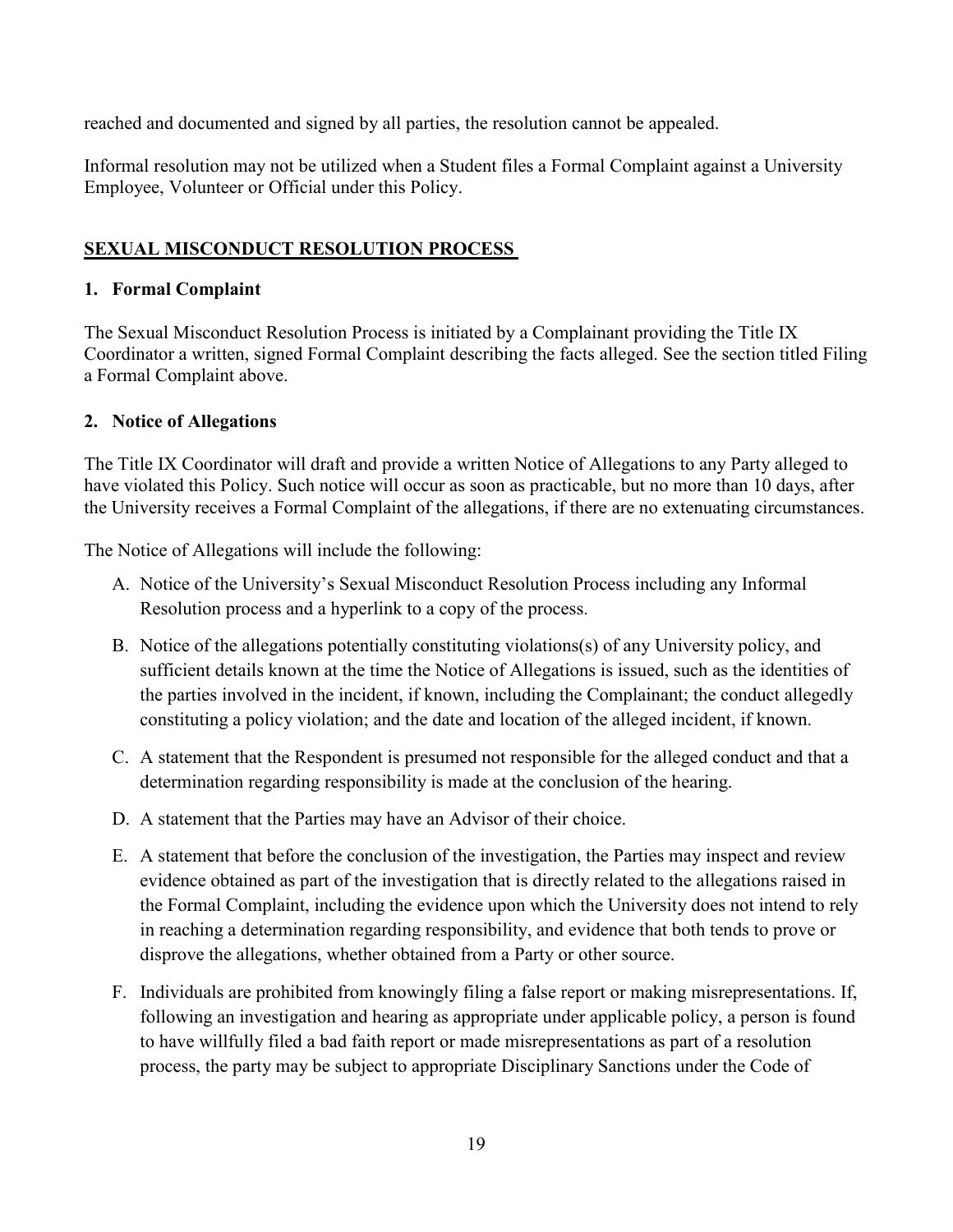reached and documented and signed by all parties, the resolution cannot be appealed.

Informal resolution may not be utilized when a Student files a Formal Complaint against a University Employee, Volunteer or Official under this Policy.

### <span id="page-18-1"></span><span id="page-18-0"></span>**SEXUAL MISCONDUCT RESOLUTION PROCESS**

#### **1. Formal Complaint**

The Sexual Misconduct Resolution Process is initiated by a Complainant providing the Title IX Coordinator a written, signed Formal Complaint describing the facts alleged. See the section titled Filing a Formal Complaint above.

#### <span id="page-18-2"></span>**2. Notice of Allegations**

The Title IX Coordinator will draft and provide a written Notice of Allegations to any Party alleged to have violated this Policy. Such notice will occur as soon as practicable, but no more than 10 days, after the University receives a Formal Complaint of the allegations, if there are no extenuating circumstances.

The Notice of Allegations will include the following:

- A. Notice of the University's Sexual Misconduct Resolution Process including any Informal Resolution process and a hyperlink to a copy of the process.
- B. Notice of the allegations potentially constituting violations(s) of any University policy, and sufficient details known at the time the Notice of Allegations is issued, such as the identities of the parties involved in the incident, if known, including the Complainant; the conduct allegedly constituting a policy violation; and the date and location of the alleged incident, if known.
- C. A statement that the Respondent is presumed not responsible for the alleged conduct and that a determination regarding responsibility is made at the conclusion of the hearing.
- D. A statement that the Parties may have an Advisor of their choice.
- E. A statement that before the conclusion of the investigation, the Parties may inspect and review evidence obtained as part of the investigation that is directly related to the allegations raised in the Formal Complaint, including the evidence upon which the University does not intend to rely in reaching a determination regarding responsibility, and evidence that both tends to prove or disprove the allegations, whether obtained from a Party or other source.
- F. Individuals are prohibited from knowingly filing a false report or making misrepresentations. If, following an investigation and hearing as appropriate under applicable policy, a person is found to have willfully filed a bad faith report or made misrepresentations as part of a resolution process, the party may be subject to appropriate Disciplinary Sanctions under the Code of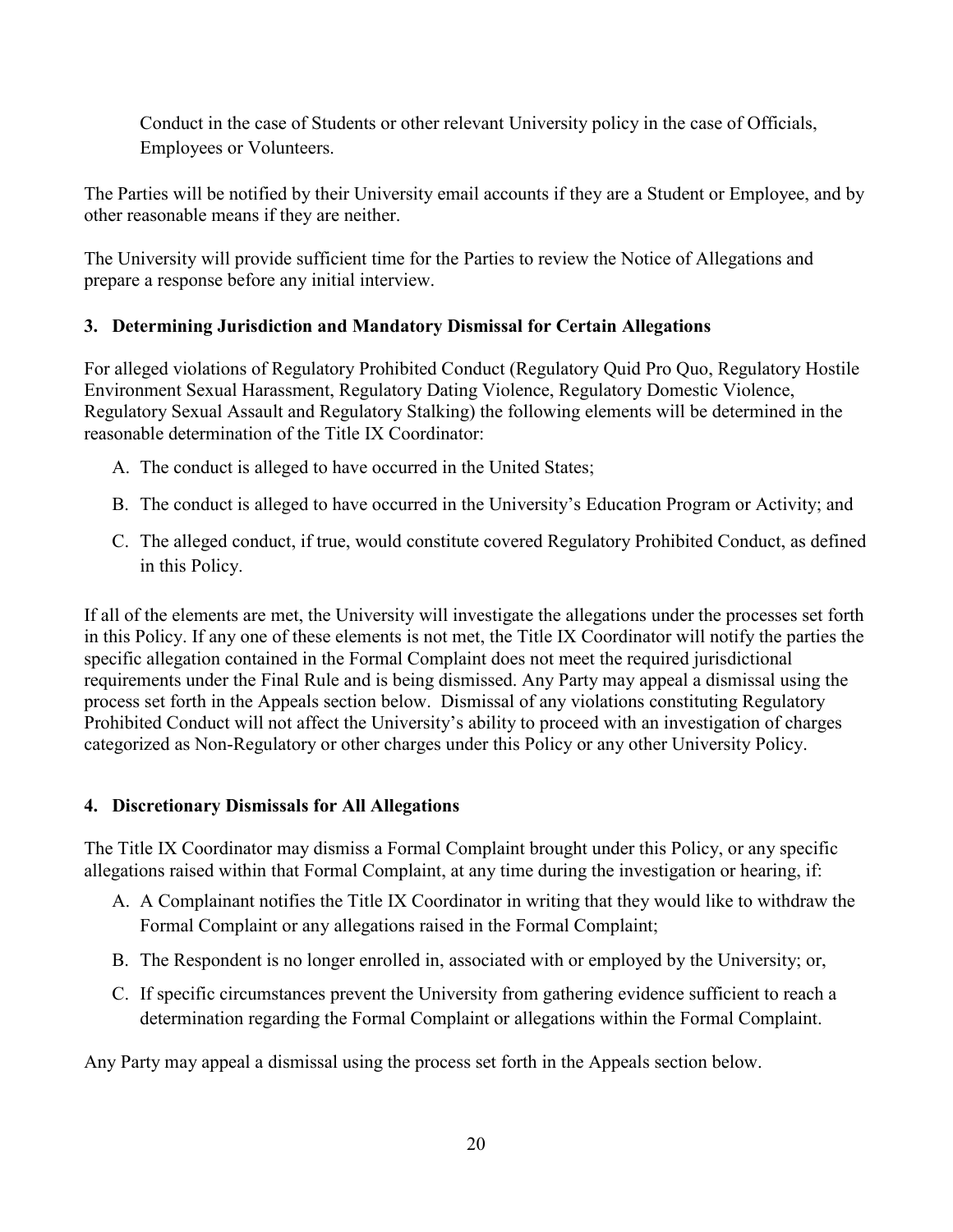Conduct in the case of Students or other relevant University policy in the case of Officials, Employees or Volunteers.

The Parties will be notified by their University email accounts if they are a Student or Employee, and by other reasonable means if they are neither.

The University will provide sufficient time for the Parties to review the Notice of Allegations and prepare a response before any initial interview.

## <span id="page-19-0"></span>**3. Determining Jurisdiction and Mandatory Dismissal for Certain Allegations**

For alleged violations of Regulatory Prohibited Conduct (Regulatory Quid Pro Quo, Regulatory Hostile Environment Sexual Harassment, Regulatory Dating Violence, Regulatory Domestic Violence, Regulatory Sexual Assault and Regulatory Stalking) the following elements will be determined in the reasonable determination of the Title IX Coordinator:

- A. The conduct is alleged to have occurred in the United States;
- B. The conduct is alleged to have occurred in the University's Education Program or Activity; and
- C. The alleged conduct, if true, would constitute covered Regulatory Prohibited Conduct, as defined in this Policy.

If all of the elements are met, the University will investigate the allegations under the processes set forth in this Policy. If any one of these elements is not met, the Title IX Coordinator will notify the parties the specific allegation contained in the Formal Complaint does not meet the required jurisdictional requirements under the Final Rule and is being dismissed. Any Party may appeal a dismissal using the process set forth in the Appeals section below. Dismissal of any violations constituting Regulatory Prohibited Conduct will not affect the University's ability to proceed with an investigation of charges categorized as Non-Regulatory or other charges under this Policy or any other University Policy.

### <span id="page-19-1"></span>**4. Discretionary Dismissals for All Allegations**

The Title IX Coordinator may dismiss a Formal Complaint brought under this Policy, or any specific allegations raised within that Formal Complaint, at any time during the investigation or hearing, if:

- A. A Complainant notifies the Title IX Coordinator in writing that they would like to withdraw the Formal Complaint or any allegations raised in the Formal Complaint;
- B. The Respondent is no longer enrolled in, associated with or employed by the University; or,
- C. If specific circumstances prevent the University from gathering evidence sufficient to reach a determination regarding the Formal Complaint or allegations within the Formal Complaint.

Any Party may appeal a dismissal using the process set forth in the Appeals section below.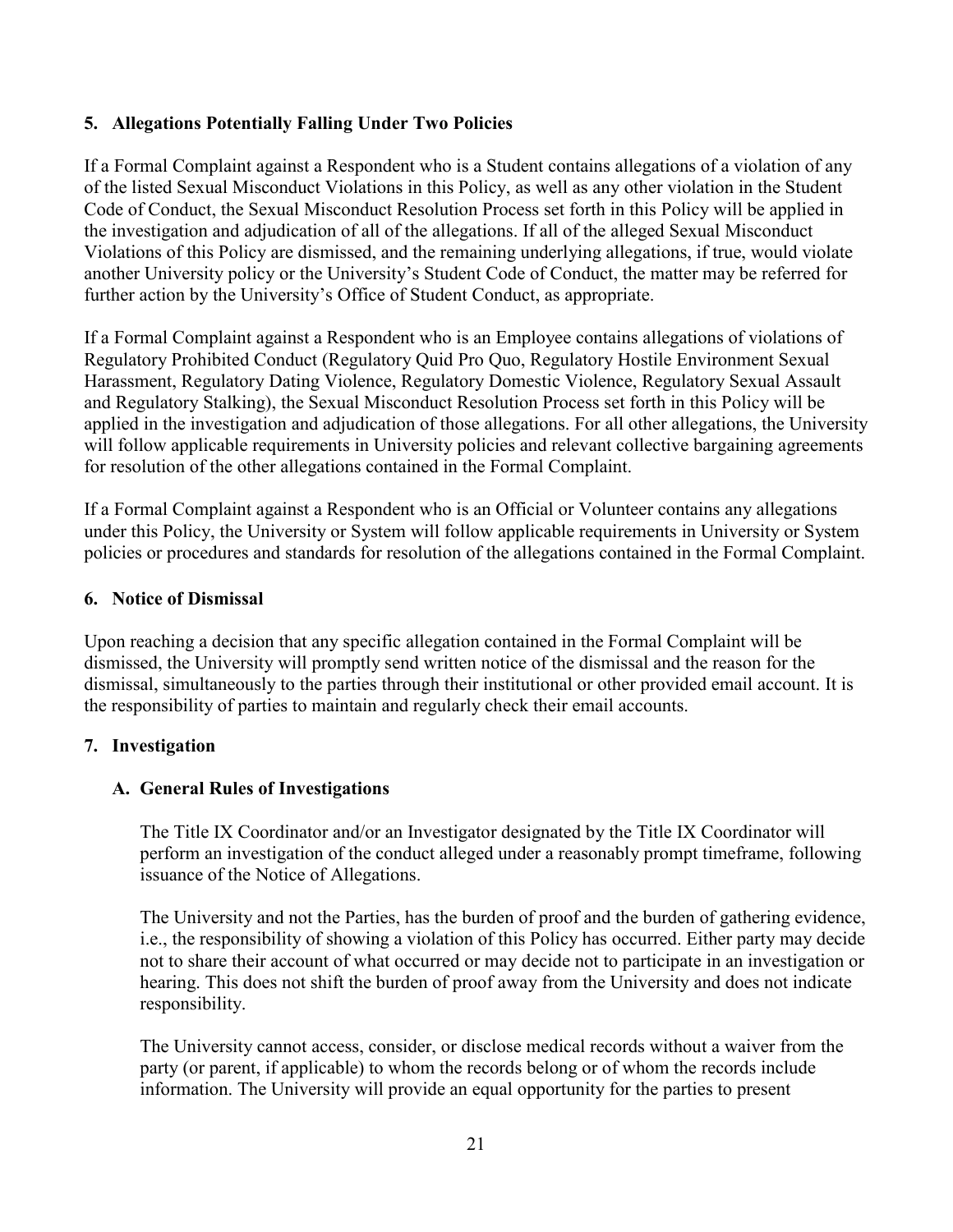### <span id="page-20-0"></span>**5. Allegations Potentially Falling Under Two Policies**

If a Formal Complaint against a Respondent who is a Student contains allegations of a violation of any of the listed Sexual Misconduct Violations in this Policy, as well as any other violation in the Student Code of Conduct, the Sexual Misconduct Resolution Process set forth in this Policy will be applied in the investigation and adjudication of all of the allegations. If all of the alleged Sexual Misconduct Violations of this Policy are dismissed, and the remaining underlying allegations, if true, would violate another University policy or the University's Student Code of Conduct, the matter may be referred for further action by the University's Office of Student Conduct, as appropriate.

If a Formal Complaint against a Respondent who is an Employee contains allegations of violations of Regulatory Prohibited Conduct (Regulatory Quid Pro Quo, Regulatory Hostile Environment Sexual Harassment, Regulatory Dating Violence, Regulatory Domestic Violence, Regulatory Sexual Assault and Regulatory Stalking), the Sexual Misconduct Resolution Process set forth in this Policy will be applied in the investigation and adjudication of those allegations. For all other allegations, the University will follow applicable requirements in University policies and relevant collective bargaining agreements for resolution of the other allegations contained in the Formal Complaint.

If a Formal Complaint against a Respondent who is an Official or Volunteer contains any allegations under this Policy, the University or System will follow applicable requirements in University or System policies or procedures and standards for resolution of the allegations contained in the Formal Complaint.

#### <span id="page-20-1"></span>**6. Notice of Dismissal**

Upon reaching a decision that any specific allegation contained in the Formal Complaint will be dismissed, the University will promptly send written notice of the dismissal and the reason for the dismissal, simultaneously to the parties through their institutional or other provided email account. It is the responsibility of parties to maintain and regularly check their email accounts.

#### <span id="page-20-2"></span>**7. Investigation**

### <span id="page-20-3"></span>**A. General Rules of Investigations**

The Title IX Coordinator and/or an Investigator designated by the Title IX Coordinator will perform an investigation of the conduct alleged under a reasonably prompt timeframe, following issuance of the Notice of Allegations.

The University and not the Parties, has the burden of proof and the burden of gathering evidence, i.e., the responsibility of showing a violation of this Policy has occurred. Either party may decide not to share their account of what occurred or may decide not to participate in an investigation or hearing. This does not shift the burden of proof away from the University and does not indicate responsibility.

The University cannot access, consider, or disclose medical records without a waiver from the party (or parent, if applicable) to whom the records belong or of whom the records include information. The University will provide an equal opportunity for the parties to present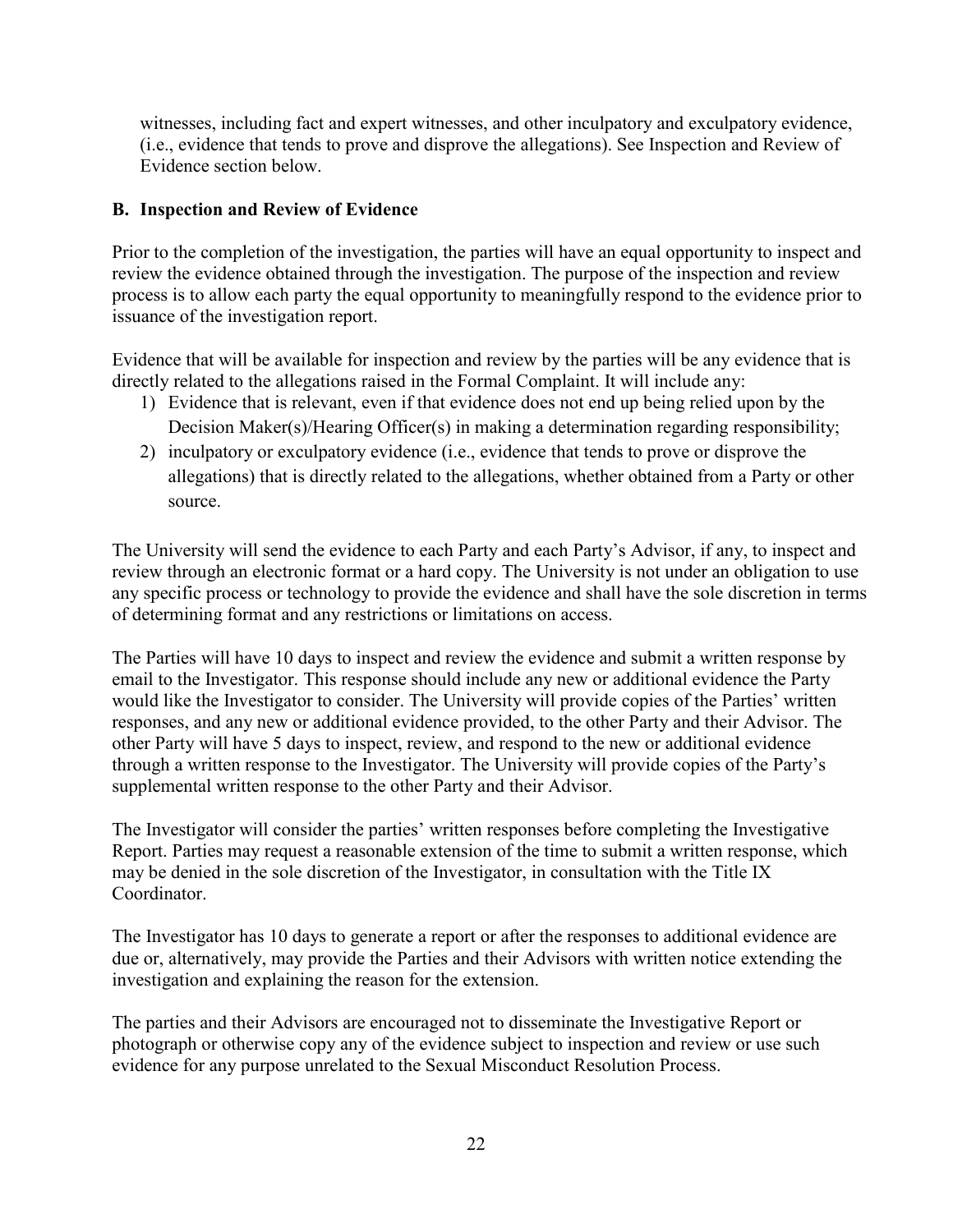witnesses, including fact and expert witnesses, and other inculpatory and exculpatory evidence, (i.e., evidence that tends to prove and disprove the allegations). See Inspection and Review of Evidence section below.

### <span id="page-21-0"></span>**B. Inspection and Review of Evidence**

Prior to the completion of the investigation, the parties will have an equal opportunity to inspect and review the evidence obtained through the investigation. The purpose of the inspection and review process is to allow each party the equal opportunity to meaningfully respond to the evidence prior to issuance of the investigation report.

Evidence that will be available for inspection and review by the parties will be any evidence that is directly related to the allegations raised in the Formal Complaint. It will include any:

- 1) Evidence that is relevant, even if that evidence does not end up being relied upon by the Decision Maker(s)/Hearing Officer(s) in making a determination regarding responsibility;
- 2) inculpatory or exculpatory evidence (i.e., evidence that tends to prove or disprove the allegations) that is directly related to the allegations, whether obtained from a Party or other source.

The University will send the evidence to each Party and each Party's Advisor, if any, to inspect and review through an electronic format or a hard copy. The University is not under an obligation to use any specific process or technology to provide the evidence and shall have the sole discretion in terms of determining format and any restrictions or limitations on access.

The Parties will have 10 days to inspect and review the evidence and submit a written response by email to the Investigator. This response should include any new or additional evidence the Party would like the Investigator to consider. The University will provide copies of the Parties' written responses, and any new or additional evidence provided, to the other Party and their Advisor. The other Party will have 5 days to inspect, review, and respond to the new or additional evidence through a written response to the Investigator. The University will provide copies of the Party's supplemental written response to the other Party and their Advisor.

The Investigator will consider the parties' written responses before completing the Investigative Report. Parties may request a reasonable extension of the time to submit a written response, which may be denied in the sole discretion of the Investigator, in consultation with the Title IX Coordinator.

The Investigator has 10 days to generate a report or after the responses to additional evidence are due or, alternatively, may provide the Parties and their Advisors with written notice extending the investigation and explaining the reason for the extension.

The parties and their Advisors are encouraged not to disseminate the Investigative Report or photograph or otherwise copy any of the evidence subject to inspection and review or use such evidence for any purpose unrelated to the Sexual Misconduct Resolution Process.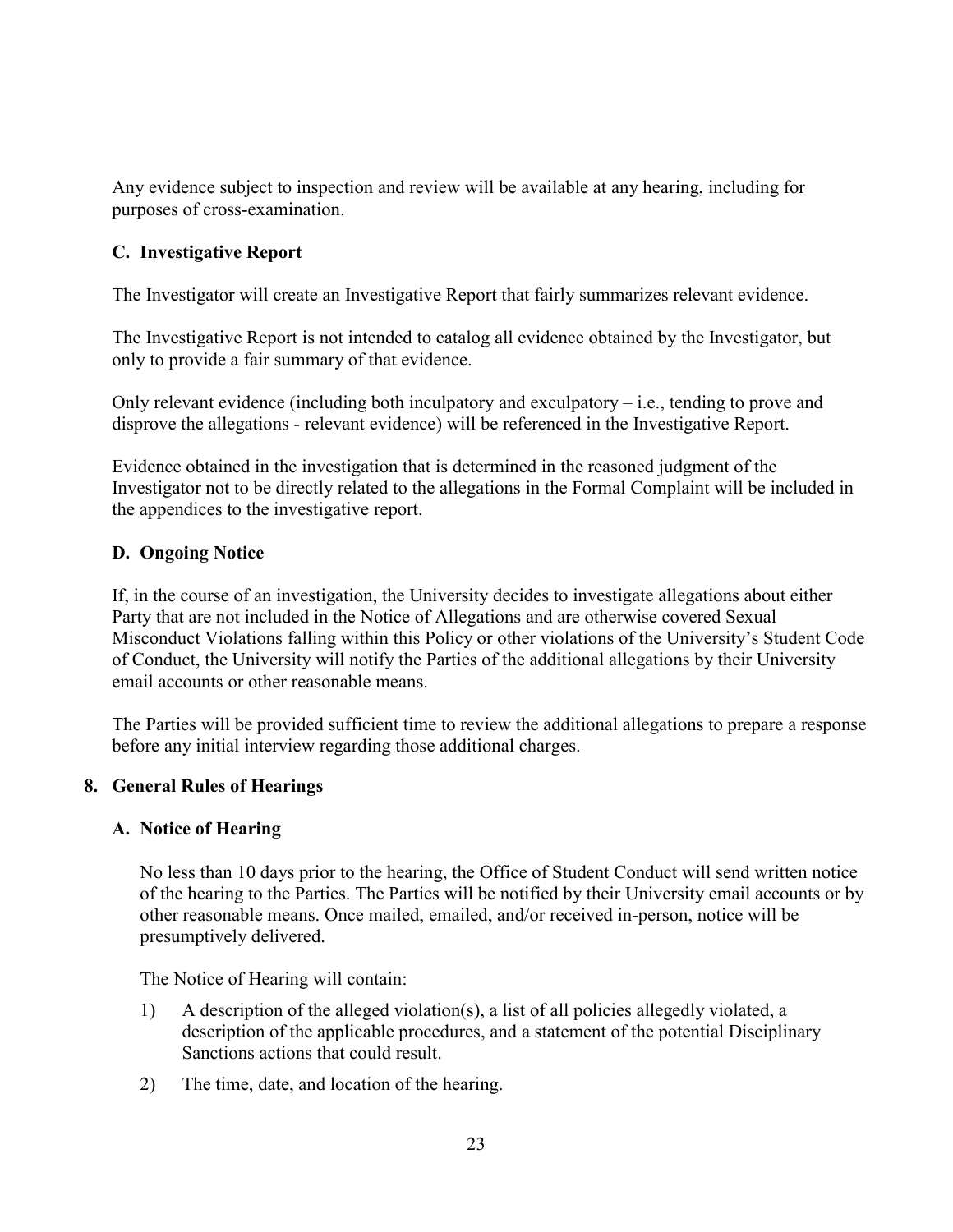Any evidence subject to inspection and review will be available at any hearing, including for purposes of cross-examination.

### **C. Investigative Report**

The Investigator will create an Investigative Report that fairly summarizes relevant evidence.

The Investigative Report is not intended to catalog all evidence obtained by the Investigator, but only to provide a fair summary of that evidence.

Only relevant evidence (including both inculpatory and exculpatory – i.e., tending to prove and disprove the allegations - relevant evidence) will be referenced in the Investigative Report.

Evidence obtained in the investigation that is determined in the reasoned judgment of the Investigator not to be directly related to the allegations in the Formal Complaint will be included in the appendices to the investigative report.

### **D. Ongoing Notice**

If, in the course of an investigation, the University decides to investigate allegations about either Party that are not included in the Notice of Allegations and are otherwise covered Sexual Misconduct Violations falling within this Policy or other violations of the University's Student Code of Conduct, the University will notify the Parties of the additional allegations by their University email accounts or other reasonable means.

The Parties will be provided sufficient time to review the additional allegations to prepare a response before any initial interview regarding those additional charges.

### <span id="page-22-0"></span>**8. General Rules of Hearings**

#### <span id="page-22-1"></span>**A. Notice of Hearing**

No less than 10 days prior to the hearing, the Office of Student Conduct will send written notice of the hearing to the Parties. The Parties will be notified by their University email accounts or by other reasonable means. Once mailed, emailed, and/or received in-person, notice will be presumptively delivered.

The Notice of Hearing will contain:

- 1) A description of the alleged violation(s), a list of all policies allegedly violated, a description of the applicable procedures, and a statement of the potential Disciplinary Sanctions actions that could result.
- 2) The time, date, and location of the hearing.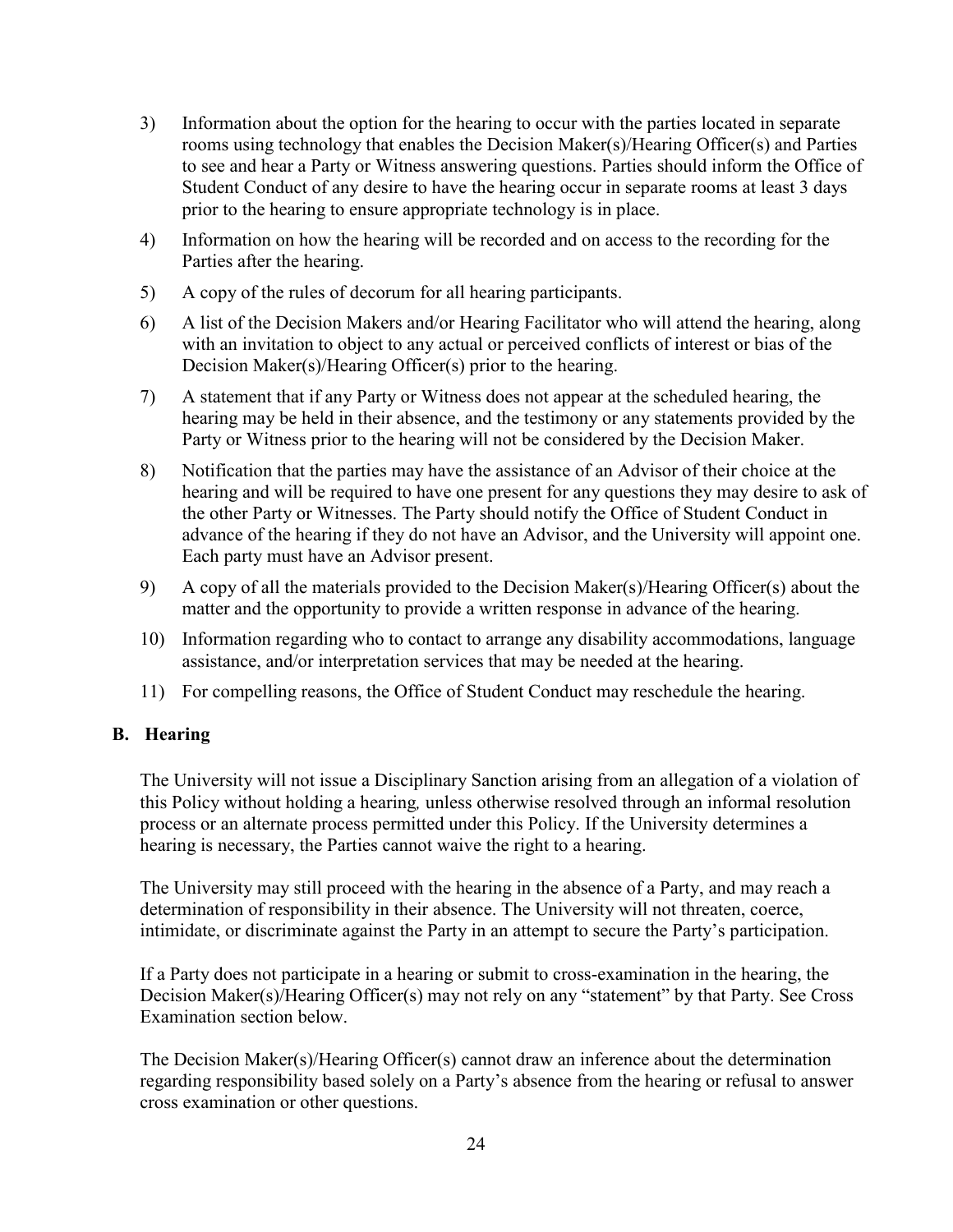- 3) Information about the option for the hearing to occur with the parties located in separate rooms using technology that enables the Decision Maker(s)/Hearing Officer(s) and Parties to see and hear a Party or Witness answering questions. Parties should inform the Office of Student Conduct of any desire to have the hearing occur in separate rooms at least 3 days prior to the hearing to ensure appropriate technology is in place.
- 4) Information on how the hearing will be recorded and on access to the recording for the Parties after the hearing.
- 5) A copy of the rules of decorum for all hearing participants.
- 6) A list of the Decision Makers and/or Hearing Facilitator who will attend the hearing, along with an invitation to object to any actual or perceived conflicts of interest or bias of the Decision Maker(s)/Hearing Officer(s) prior to the hearing.
- 7) A statement that if any Party or Witness does not appear at the scheduled hearing, the hearing may be held in their absence, and the testimony or any statements provided by the Party or Witness prior to the hearing will not be considered by the Decision Maker.
- 8) Notification that the parties may have the assistance of an Advisor of their choice at the hearing and will be required to have one present for any questions they may desire to ask of the other Party or Witnesses. The Party should notify the Office of Student Conduct in advance of the hearing if they do not have an Advisor, and the University will appoint one. Each party must have an Advisor present.
- 9) A copy of all the materials provided to the Decision Maker(s)/Hearing Officer(s) about the matter and the opportunity to provide a written response in advance of the hearing.
- 10) Information regarding who to contact to arrange any disability accommodations, language assistance, and/or interpretation services that may be needed at the hearing.
- 11) For compelling reasons, the Office of Student Conduct may reschedule the hearing.

### <span id="page-23-0"></span>**B. Hearing**

The University will not issue a Disciplinary Sanction arising from an allegation of a violation of this Policy without holding a hearing*,* unless otherwise resolved through an informal resolution process or an alternate process permitted under this Policy. If the University determines a hearing is necessary, the Parties cannot waive the right to a hearing.

The University may still proceed with the hearing in the absence of a Party, and may reach a determination of responsibility in their absence. The University will not threaten, coerce, intimidate, or discriminate against the Party in an attempt to secure the Party's participation.

If a Party does not participate in a hearing or submit to cross-examination in the hearing, the Decision Maker(s)/Hearing Officer(s) may not rely on any "statement" by that Party. See Cross Examination section below.

The Decision Maker(s)/Hearing Officer(s) cannot draw an inference about the determination regarding responsibility based solely on a Party's absence from the hearing or refusal to answer cross examination or other questions.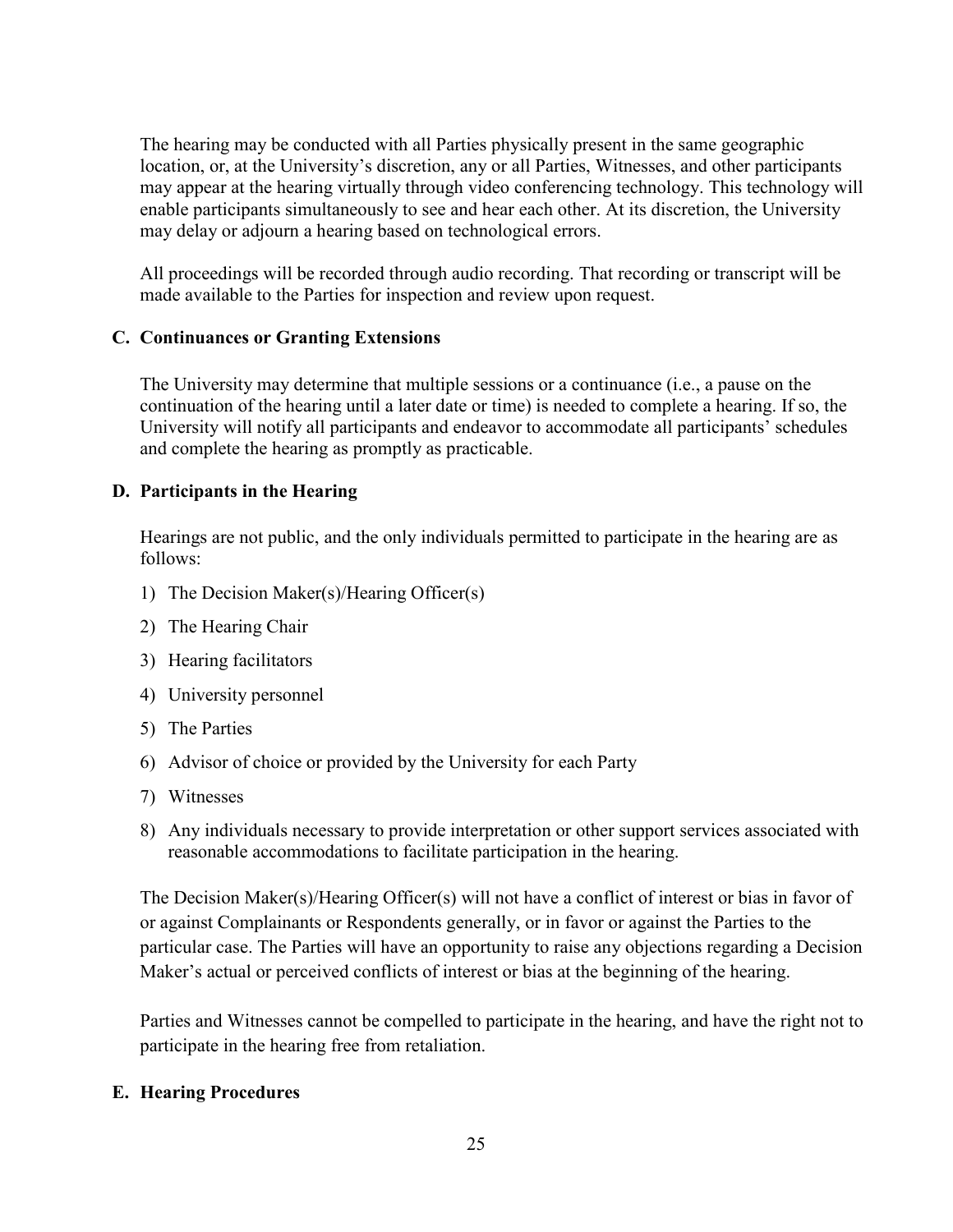The hearing may be conducted with all Parties physically present in the same geographic location, or, at the University's discretion, any or all Parties, Witnesses, and other participants may appear at the hearing virtually through video conferencing technology. This technology will enable participants simultaneously to see and hear each other. At its discretion, the University may delay or adjourn a hearing based on technological errors.

All proceedings will be recorded through audio recording. That recording or transcript will be made available to the Parties for inspection and review upon request.

### <span id="page-24-0"></span>**C. Continuances or Granting Extensions**

The University may determine that multiple sessions or a continuance (i.e., a pause on the continuation of the hearing until a later date or time) is needed to complete a hearing. If so, the University will notify all participants and endeavor to accommodate all participants' schedules and complete the hearing as promptly as practicable.

#### <span id="page-24-1"></span>**D. Participants in the Hearing**

Hearings are not public, and the only individuals permitted to participate in the hearing are as follows:

- 1) The Decision Maker(s)/Hearing Officer(s)
- 2) The Hearing Chair
- 3) Hearing facilitators
- 4) University personnel
- 5) The Parties
- 6) Advisor of choice or provided by the University for each Party
- 7) Witnesses
- 8) Any individuals necessary to provide interpretation or other support services associated with reasonable accommodations to facilitate participation in the hearing.

The Decision Maker(s)/Hearing Officer(s) will not have a conflict of interest or bias in favor of or against Complainants or Respondents generally, or in favor or against the Parties to the particular case. The Parties will have an opportunity to raise any objections regarding a Decision Maker's actual or perceived conflicts of interest or bias at the beginning of the hearing.

Parties and Witnesses cannot be compelled to participate in the hearing, and have the right not to participate in the hearing free from retaliation.

#### <span id="page-24-2"></span>**E. Hearing Procedures**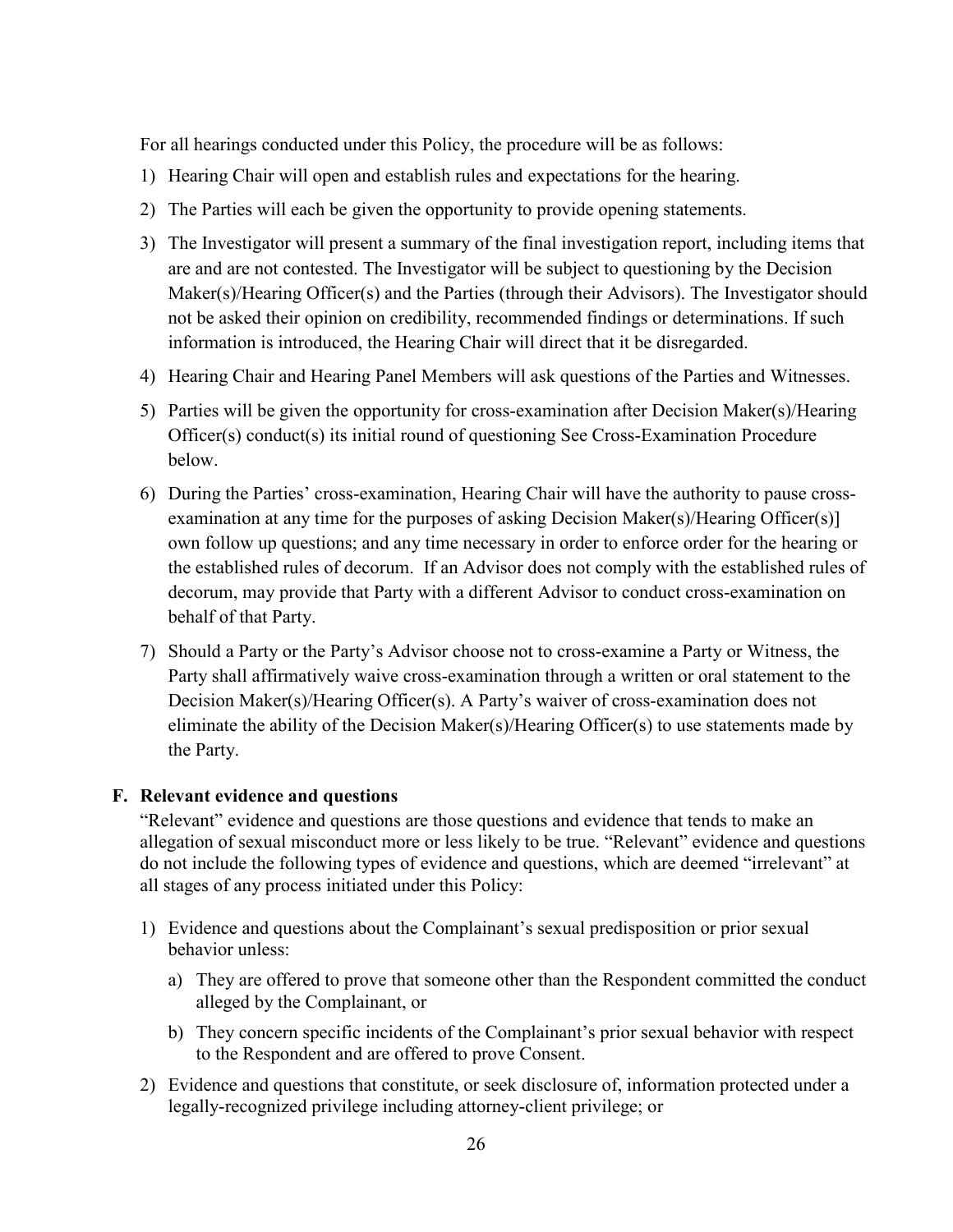For all hearings conducted under this Policy, the procedure will be as follows:

- 1) Hearing Chair will open and establish rules and expectations for the hearing.
- 2) The Parties will each be given the opportunity to provide opening statements.
- 3) The Investigator will present a summary of the final investigation report, including items that are and are not contested. The Investigator will be subject to questioning by the Decision Maker(s)/Hearing Officer(s) and the Parties (through their Advisors). The Investigator should not be asked their opinion on credibility, recommended findings or determinations. If such information is introduced, the Hearing Chair will direct that it be disregarded.
- 4) Hearing Chair and Hearing Panel Members will ask questions of the Parties and Witnesses.
- 5) Parties will be given the opportunity for cross-examination after Decision Maker(s)/Hearing Officer(s) conduct(s) its initial round of questioning See Cross-Examination Procedure below.
- 6) During the Parties' cross-examination, Hearing Chair will have the authority to pause crossexamination at any time for the purposes of asking Decision Maker(s)/Hearing Officer(s)] own follow up questions; and any time necessary in order to enforce order for the hearing or the established rules of decorum. If an Advisor does not comply with the established rules of decorum, may provide that Party with a different Advisor to conduct cross-examination on behalf of that Party.
- 7) Should a Party or the Party's Advisor choose not to cross-examine a Party or Witness, the Party shall affirmatively waive cross-examination through a written or oral statement to the Decision Maker(s)/Hearing Officer(s). A Party's waiver of cross-examination does not eliminate the ability of the Decision Maker(s)/Hearing Officer(s) to use statements made by the Party.

#### <span id="page-25-0"></span>**F. Relevant evidence and questions**

"Relevant" evidence and questions are those questions and evidence that tends to make an allegation of sexual misconduct more or less likely to be true. "Relevant" evidence and questions do not include the following types of evidence and questions, which are deemed "irrelevant" at all stages of any process initiated under this Policy:

- 1) Evidence and questions about the Complainant's sexual predisposition or prior sexual behavior unless:
	- a) They are offered to prove that someone other than the Respondent committed the conduct alleged by the Complainant, or
	- b) They concern specific incidents of the Complainant's prior sexual behavior with respect to the Respondent and are offered to prove Consent.
- 2) Evidence and questions that constitute, or seek disclosure of, information protected under a legally-recognized privilege including attorney-client privilege; or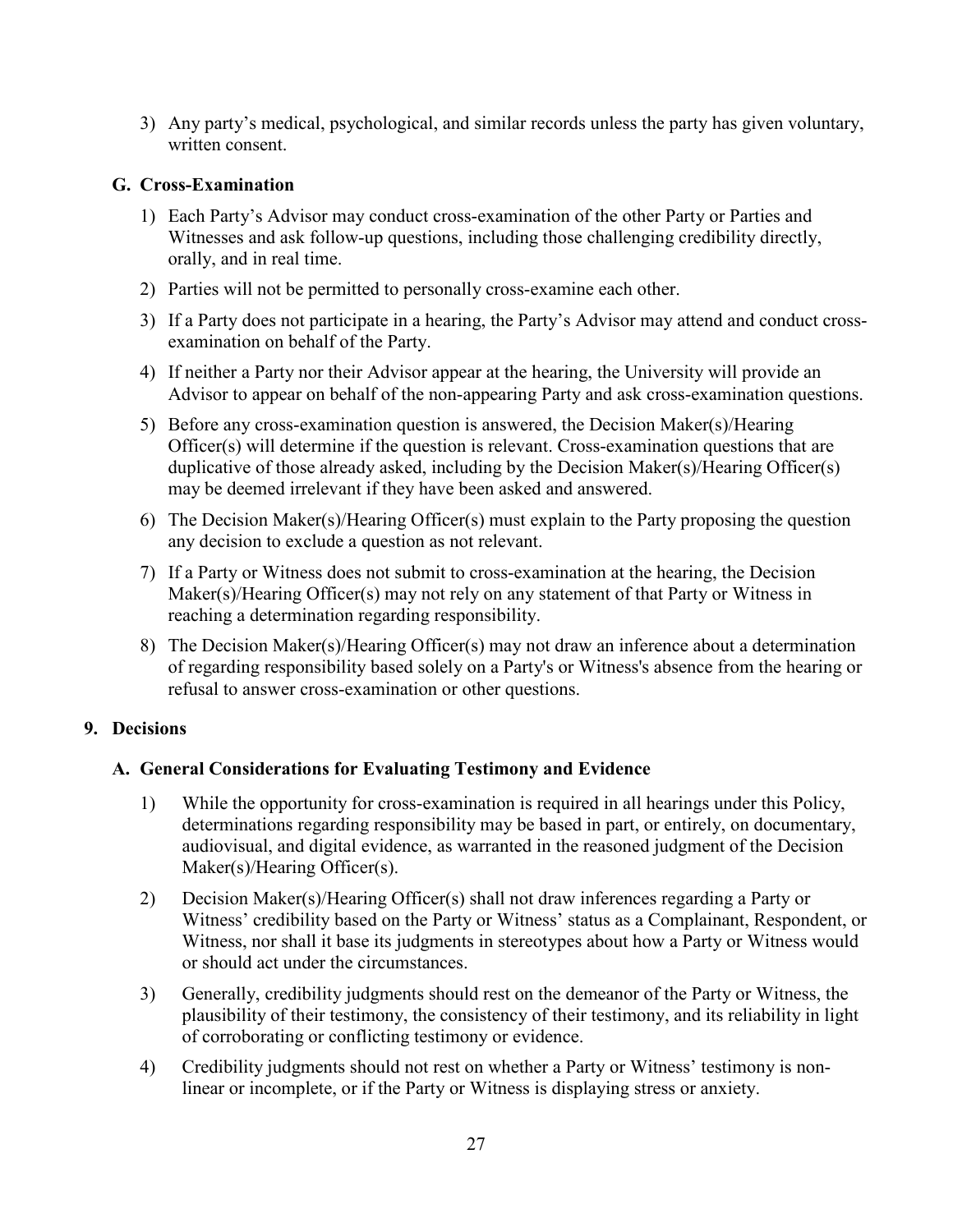3) Any party's medical, psychological, and similar records unless the party has given voluntary, written consent.

### <span id="page-26-0"></span>**G. Cross-Examination**

- 1) Each Party's Advisor may conduct cross-examination of the other Party or Parties and Witnesses and ask follow-up questions, including those challenging credibility directly, orally, and in real time.
- 2) Parties will not be permitted to personally cross-examine each other.
- 3) If a Party does not participate in a hearing, the Party's Advisor may attend and conduct crossexamination on behalf of the Party.
- 4) If neither a Party nor their Advisor appear at the hearing, the University will provide an Advisor to appear on behalf of the non-appearing Party and ask cross-examination questions.
- 5) Before any cross-examination question is answered, the Decision Maker(s)/Hearing Officer(s) will determine if the question is relevant. Cross-examination questions that are duplicative of those already asked, including by the Decision Maker(s)/Hearing Officer(s) may be deemed irrelevant if they have been asked and answered.
- 6) The Decision Maker(s)/Hearing Officer(s) must explain to the Party proposing the question any decision to exclude a question as not relevant.
- 7) If a Party or Witness does not submit to cross-examination at the hearing, the Decision Maker(s)/Hearing Officer(s) may not rely on any statement of that Party or Witness in reaching a determination regarding responsibility.
- 8) The Decision Maker(s)/Hearing Officer(s) may not draw an inference about a determination of regarding responsibility based solely on a Party's or Witness's absence from the hearing or refusal to answer cross-examination or other questions.

### <span id="page-26-2"></span><span id="page-26-1"></span>**9. Decisions**

### **A. General Considerations for Evaluating Testimony and Evidence**

- 1) While the opportunity for cross-examination is required in all hearings under this Policy, determinations regarding responsibility may be based in part, or entirely, on documentary, audiovisual, and digital evidence, as warranted in the reasoned judgment of the Decision Maker(s)/Hearing Officer(s).
- 2) Decision Maker(s)/Hearing Officer(s) shall not draw inferences regarding a Party or Witness' credibility based on the Party or Witness' status as a Complainant, Respondent, or Witness, nor shall it base its judgments in stereotypes about how a Party or Witness would or should act under the circumstances.
- 3) Generally, credibility judgments should rest on the demeanor of the Party or Witness, the plausibility of their testimony, the consistency of their testimony, and its reliability in light of corroborating or conflicting testimony or evidence.
- 4) Credibility judgments should not rest on whether a Party or Witness' testimony is nonlinear or incomplete, or if the Party or Witness is displaying stress or anxiety.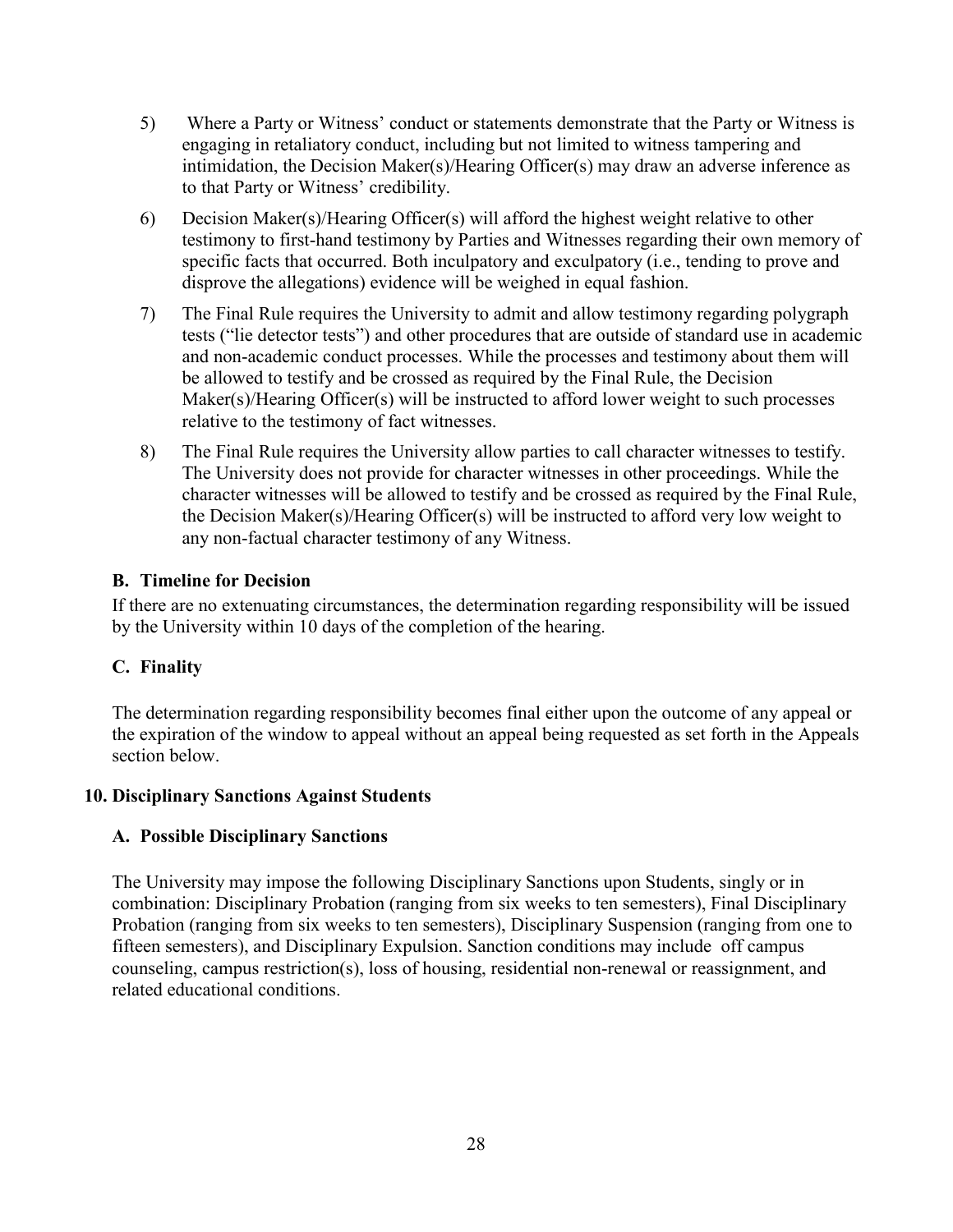- 5) Where a Party or Witness' conduct or statements demonstrate that the Party or Witness is engaging in retaliatory conduct, including but not limited to witness tampering and intimidation, the Decision Maker(s)/Hearing Officer(s) may draw an adverse inference as to that Party or Witness' credibility.
- 6) Decision Maker(s)/Hearing Officer(s) will afford the highest weight relative to other testimony to first-hand testimony by Parties and Witnesses regarding their own memory of specific facts that occurred. Both inculpatory and exculpatory (i.e., tending to prove and disprove the allegations) evidence will be weighed in equal fashion.
- 7) The Final Rule requires the University to admit and allow testimony regarding polygraph tests ("lie detector tests") and other procedures that are outside of standard use in academic and non-academic conduct processes. While the processes and testimony about them will be allowed to testify and be crossed as required by the Final Rule, the Decision Maker(s)/Hearing Officer(s) will be instructed to afford lower weight to such processes relative to the testimony of fact witnesses.
- 8) The Final Rule requires the University allow parties to call character witnesses to testify. The University does not provide for character witnesses in other proceedings. While the character witnesses will be allowed to testify and be crossed as required by the Final Rule, the Decision Maker(s)/Hearing Officer(s) will be instructed to afford very low weight to any non-factual character testimony of any Witness.

### <span id="page-27-0"></span>**B. Timeline for Decision**

If there are no extenuating circumstances, the determination regarding responsibility will be issued by the University within 10 days of the completion of the hearing.

## <span id="page-27-1"></span>**C. Finality**

The determination regarding responsibility becomes final either upon the outcome of any appeal or the expiration of the window to appeal without an appeal being requested as set forth in the Appeals section below.

### <span id="page-27-3"></span><span id="page-27-2"></span>**10. Disciplinary Sanctions Against Students**

### **A. Possible Disciplinary Sanctions**

<span id="page-27-4"></span>The University may impose the following Disciplinary Sanctions upon Students, singly or in combination: Disciplinary Probation (ranging from six weeks to ten semesters), Final Disciplinary Probation (ranging from six weeks to ten semesters), Disciplinary Suspension (ranging from one to fifteen semesters), and Disciplinary Expulsion. Sanction conditions may include off campus counseling, campus restriction(s), loss of housing, residential non-renewal or reassignment, and related educational conditions.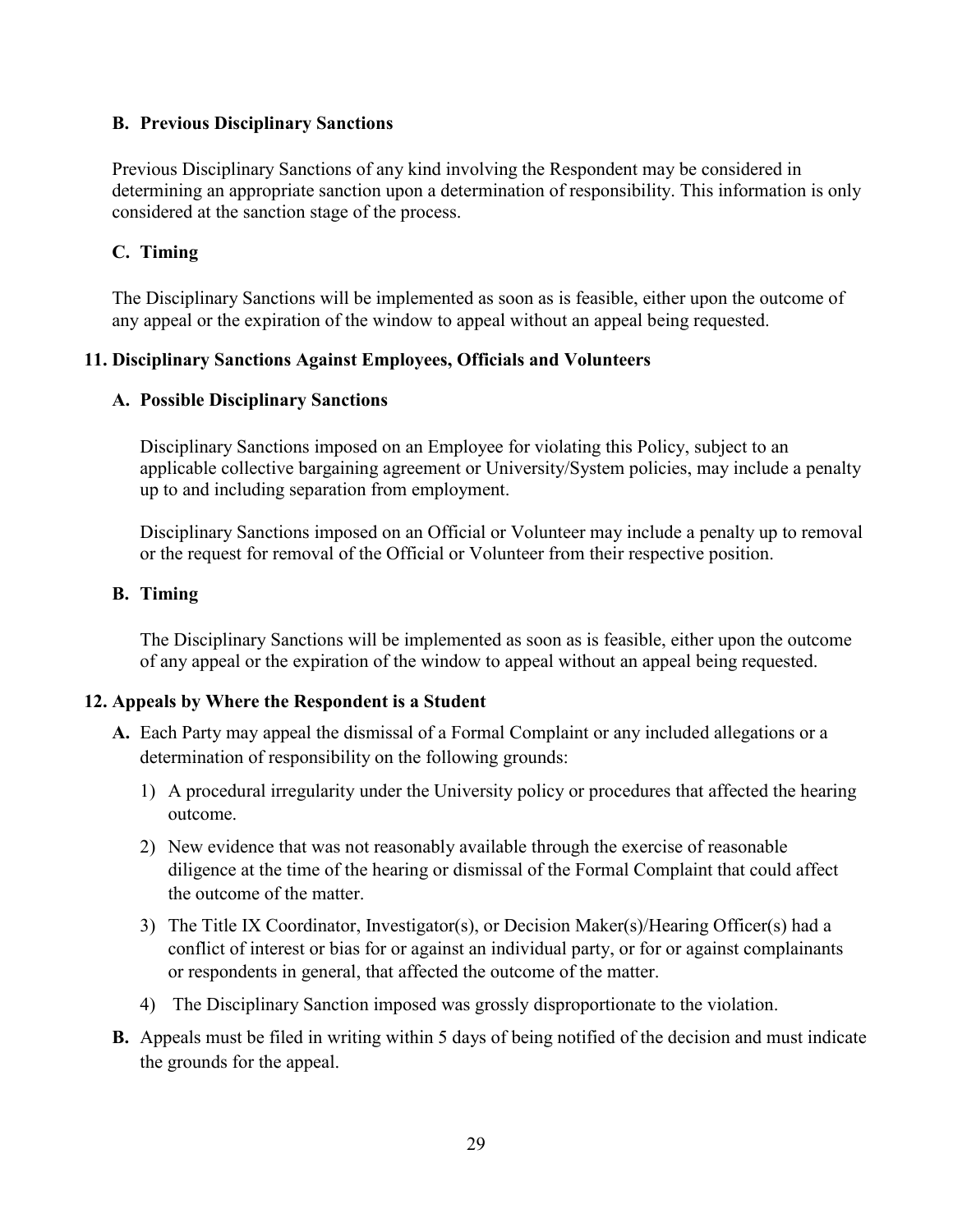#### **B. Previous Disciplinary Sanctions**

Previous Disciplinary Sanctions of any kind involving the Respondent may be considered in determining an appropriate sanction upon a determination of responsibility. This information is only considered at the sanction stage of the process.

### <span id="page-28-0"></span>**C. Timing**

The Disciplinary Sanctions will be implemented as soon as is feasible, either upon the outcome of any appeal or the expiration of the window to appeal without an appeal being requested.

### <span id="page-28-2"></span><span id="page-28-1"></span>**11. Disciplinary Sanctions Against Employees, Officials and Volunteers**

#### **A. Possible Disciplinary Sanctions**

Disciplinary Sanctions imposed on an Employee for violating this Policy, subject to an applicable collective bargaining agreement or University/System policies, may include a penalty up to and including separation from employment.

Disciplinary Sanctions imposed on an Official or Volunteer may include a penalty up to removal or the request for removal of the Official or Volunteer from their respective position.

#### <span id="page-28-3"></span>**B. Timing**

The Disciplinary Sanctions will be implemented as soon as is feasible, either upon the outcome of any appeal or the expiration of the window to appeal without an appeal being requested.

### <span id="page-28-4"></span>**12. Appeals by Where the Respondent is a Student**

- **A.** Each Party may appeal the dismissal of a Formal Complaint or any included allegations or a determination of responsibility on the following grounds:
	- 1) A procedural irregularity under the University policy or procedures that affected the hearing outcome.
	- 2) New evidence that was not reasonably available through the exercise of reasonable diligence at the time of the hearing or dismissal of the Formal Complaint that could affect the outcome of the matter.
	- 3) The Title IX Coordinator, Investigator(s), or Decision Maker(s)/Hearing Officer(s) had a conflict of interest or bias for or against an individual party, or for or against complainants or respondents in general, that affected the outcome of the matter.
	- 4) The Disciplinary Sanction imposed was grossly disproportionate to the violation.
- **B.** Appeals must be filed in writing within 5 days of being notified of the decision and must indicate the grounds for the appeal.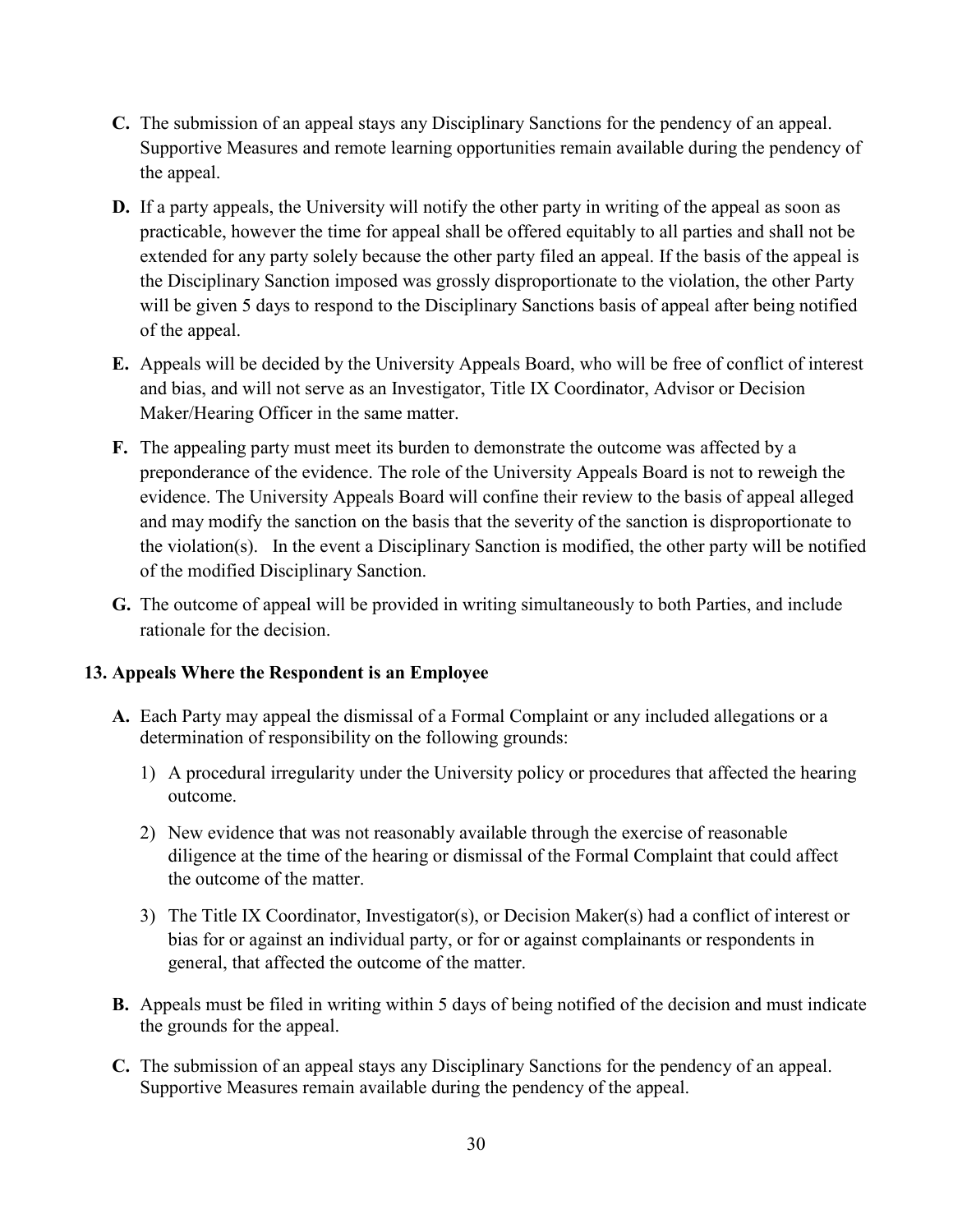- **C.** The submission of an appeal stays any Disciplinary Sanctions for the pendency of an appeal. Supportive Measures and remote learning opportunities remain available during the pendency of the appeal.
- **D.** If a party appeals, the University will notify the other party in writing of the appeal as soon as practicable, however the time for appeal shall be offered equitably to all parties and shall not be extended for any party solely because the other party filed an appeal. If the basis of the appeal is the Disciplinary Sanction imposed was grossly disproportionate to the violation, the other Party will be given 5 days to respond to the Disciplinary Sanctions basis of appeal after being notified of the appeal.
- **E.** Appeals will be decided by the University Appeals Board, who will be free of conflict of interest and bias, and will not serve as an Investigator, Title IX Coordinator, Advisor or Decision Maker/Hearing Officer in the same matter.
- **F.** The appealing party must meet its burden to demonstrate the outcome was affected by a preponderance of the evidence. The role of the University Appeals Board is not to reweigh the evidence. The University Appeals Board will confine their review to the basis of appeal alleged and may modify the sanction on the basis that the severity of the sanction is disproportionate to the violation(s). In the event a Disciplinary Sanction is modified, the other party will be notified of the modified Disciplinary Sanction.
- **G.** The outcome of appeal will be provided in writing simultaneously to both Parties, and include rationale for the decision.

### <span id="page-29-0"></span>**13. Appeals Where the Respondent is an Employee**

- **A.** Each Party may appeal the dismissal of a Formal Complaint or any included allegations or a determination of responsibility on the following grounds:
	- 1) A procedural irregularity under the University policy or procedures that affected the hearing outcome.
	- 2) New evidence that was not reasonably available through the exercise of reasonable diligence at the time of the hearing or dismissal of the Formal Complaint that could affect the outcome of the matter.
	- 3) The Title IX Coordinator, Investigator(s), or Decision Maker(s) had a conflict of interest or bias for or against an individual party, or for or against complainants or respondents in general, that affected the outcome of the matter.
- **B.** Appeals must be filed in writing within 5 days of being notified of the decision and must indicate the grounds for the appeal.
- **C.** The submission of an appeal stays any Disciplinary Sanctions for the pendency of an appeal. Supportive Measures remain available during the pendency of the appeal.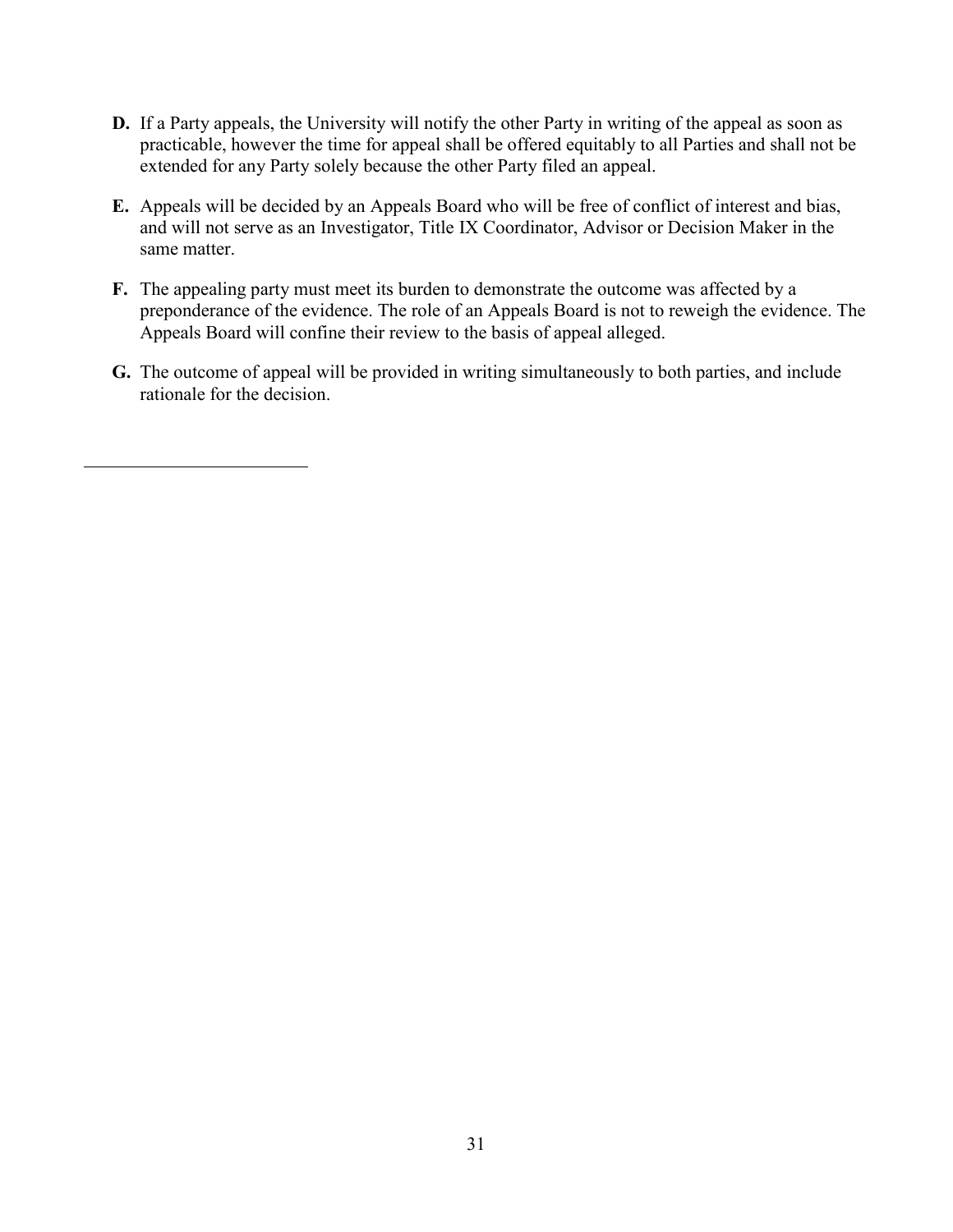- **D.** If a Party appeals, the University will notify the other Party in writing of the appeal as soon as practicable, however the time for appeal shall be offered equitably to all Parties and shall not be extended for any Party solely because the other Party filed an appeal.
- **E.** Appeals will be decided by an Appeals Board who will be free of conflict of interest and bias, and will not serve as an Investigator, Title IX Coordinator, Advisor or Decision Maker in the same matter.
- **F.** The appealing party must meet its burden to demonstrate the outcome was affected by a preponderance of the evidence. The role of an Appeals Board is not to reweigh the evidence. The Appeals Board will confine their review to the basis of appeal alleged.
- **G.** The outcome of appeal will be provided in writing simultaneously to both parties, and include rationale for the decision.